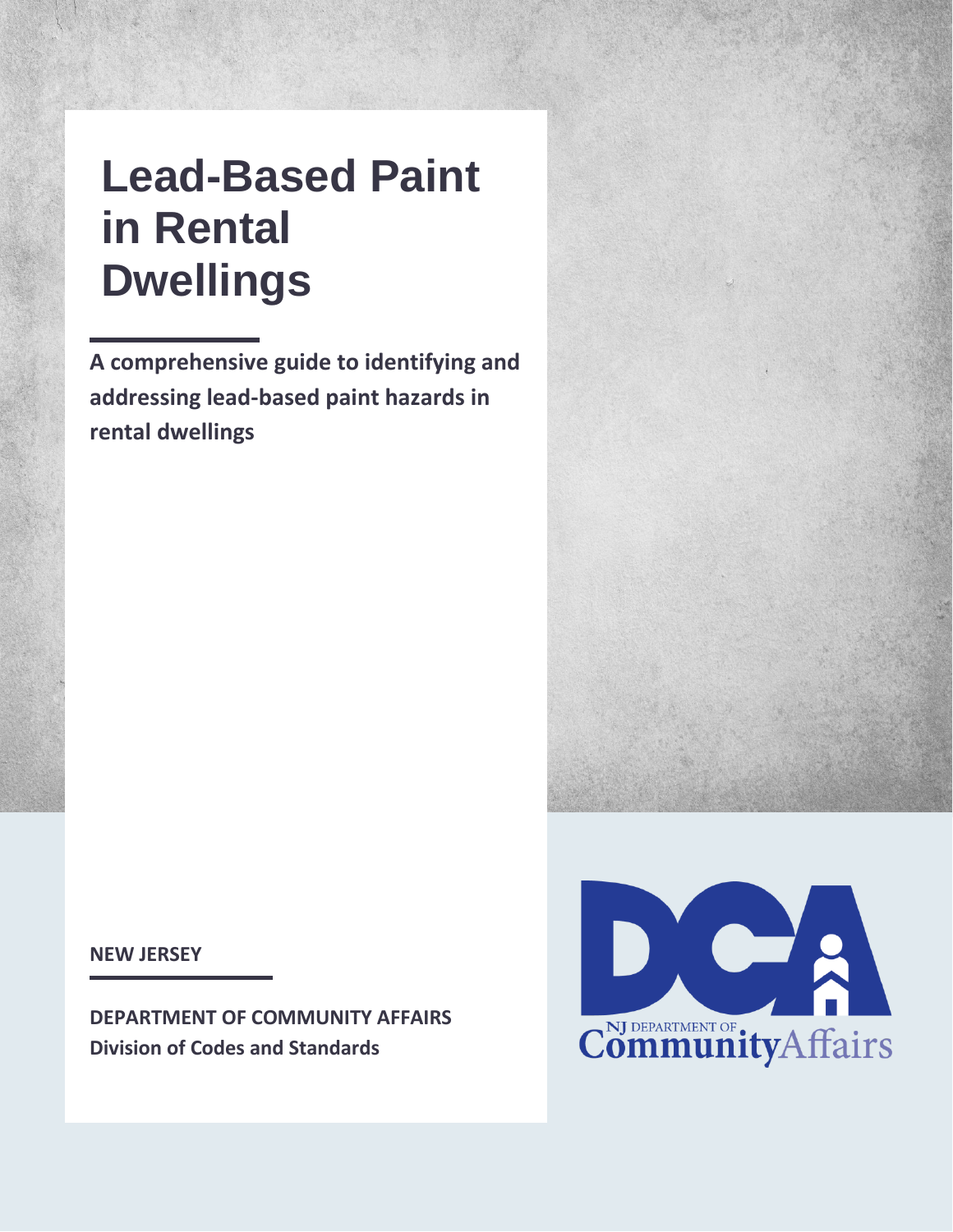# **Lead-Based Paint in Rental Dwellings**

**A comprehensive guide to identifying and addressing lead-based paint hazards in rental dwellings**

**NEW JERSEY**

**DEPARTMENT OF COMMUNITY AFFAIRS Division of Codes and Standards**



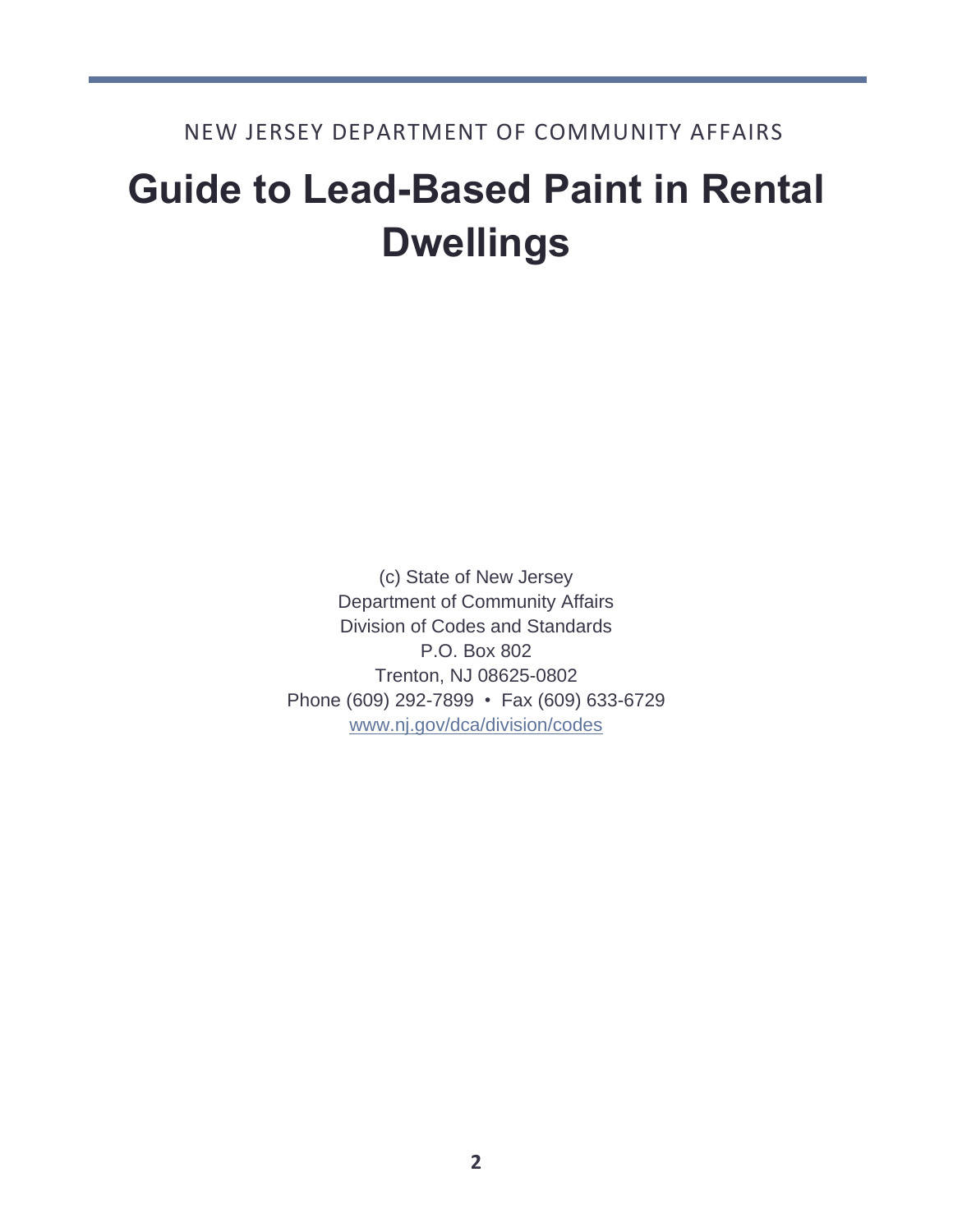# **Guide to Lead-Based Paint in Rental Dwellings**

(c) State of New Jersey Department of Community Affairs Division of Codes and Standards P.O. Box 802 Trenton, NJ 08625-0802 Phone (609) 292-7899 • Fax (609) 633-6729 [www.nj.gov/dca/division/codes](http://www.nj.gov/dca/division/codes)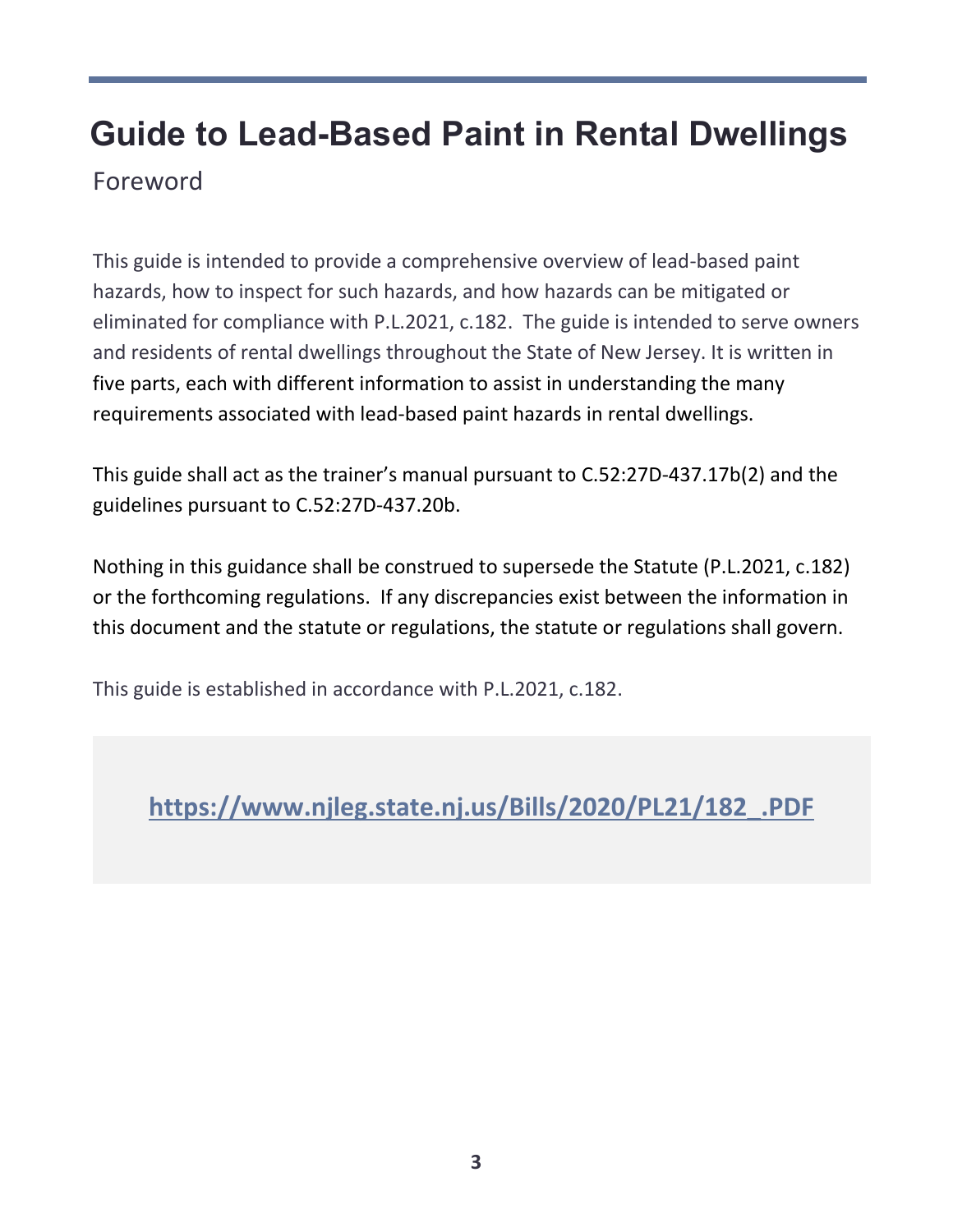# **Guide to Lead-Based Paint in Rental Dwellings** Foreword

This guide is intended to provide a comprehensive overview of lead-based paint hazards, how to inspect for such hazards, and how hazards can be mitigated or eliminated for compliance with P.L.2021, c.182. The guide is intended to serve owners and residents of rental dwellings throughout the State of New Jersey. It is written in five parts, each with different information to assist in understanding the many requirements associated with lead-based paint hazards in rental dwellings.

This guide shall act as the trainer's manual pursuant to C.52:27D-437.17b(2) and the guidelines pursuant to C.52:27D-437.20b.

Nothing in this guidance shall be construed to supersede the Statute (P.L.2021, c.182) or the forthcoming regulations. If any discrepancies exist between the information in this document and the statute or regulations, the statute or regulations shall govern.

This guide is established in accordance with P.L.2021, c.182.

**[https://www.njleg.state.nj.us/Bills/2020/PL21/182\\_.PDF](https://www.njleg.state.nj.us/Bills/2020/PL21/182_.PDF)**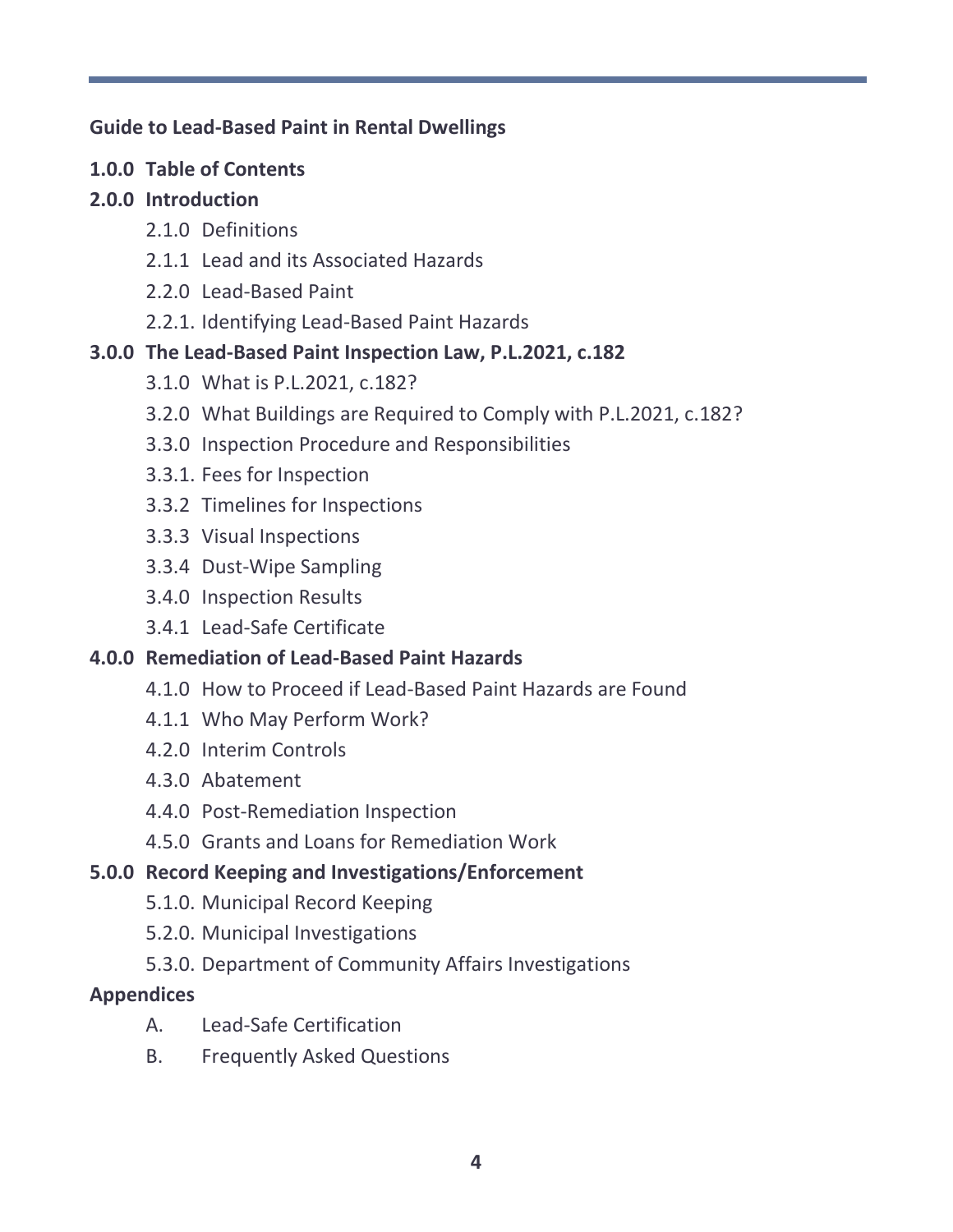## **Guide to Lead-Based Paint in Rental Dwellings**

**1.0.0 Table of Contents**

# **2.0.0 Introduction**

- 2.1.0 Definitions
- 2.1.1 Lead and its Associated Hazards
- 2.2.0 Lead-Based Paint
- 2.2.1. Identifying Lead-Based Paint Hazards

# **3.0.0 The Lead-Based Paint Inspection Law, P.L.2021, c.182**

- 3.1.0 What is P.L.2021, c.182?
- 3.2.0 What Buildings are Required to Comply with P.L.2021, c.182?
- 3.3.0 Inspection Procedure and Responsibilities
- 3.3.1. Fees for Inspection
- 3.3.2 Timelines for Inspections
- 3.3.3 Visual Inspections
- 3.3.4 Dust-Wipe Sampling
- 3.4.0 Inspection Results
- 3.4.1 Lead-Safe Certificate

# **4.0.0 Remediation of Lead-Based Paint Hazards**

- 4.1.0 How to Proceed if Lead-Based Paint Hazards are Found
- 4.1.1 Who May Perform Work?
- 4.2.0 Interim Controls
- 4.3.0 Abatement
- 4.4.0 Post-Remediation Inspection
- 4.5.0 Grants and Loans for Remediation Work

# **5.0.0 Record Keeping and Investigations/Enforcement**

- 5.1.0. Municipal Record Keeping
- 5.2.0. Municipal Investigations
- 5.3.0. Department of Community Affairs Investigations

# **Appendices**

- A. Lead-Safe Certification
- B. Frequently Asked Questions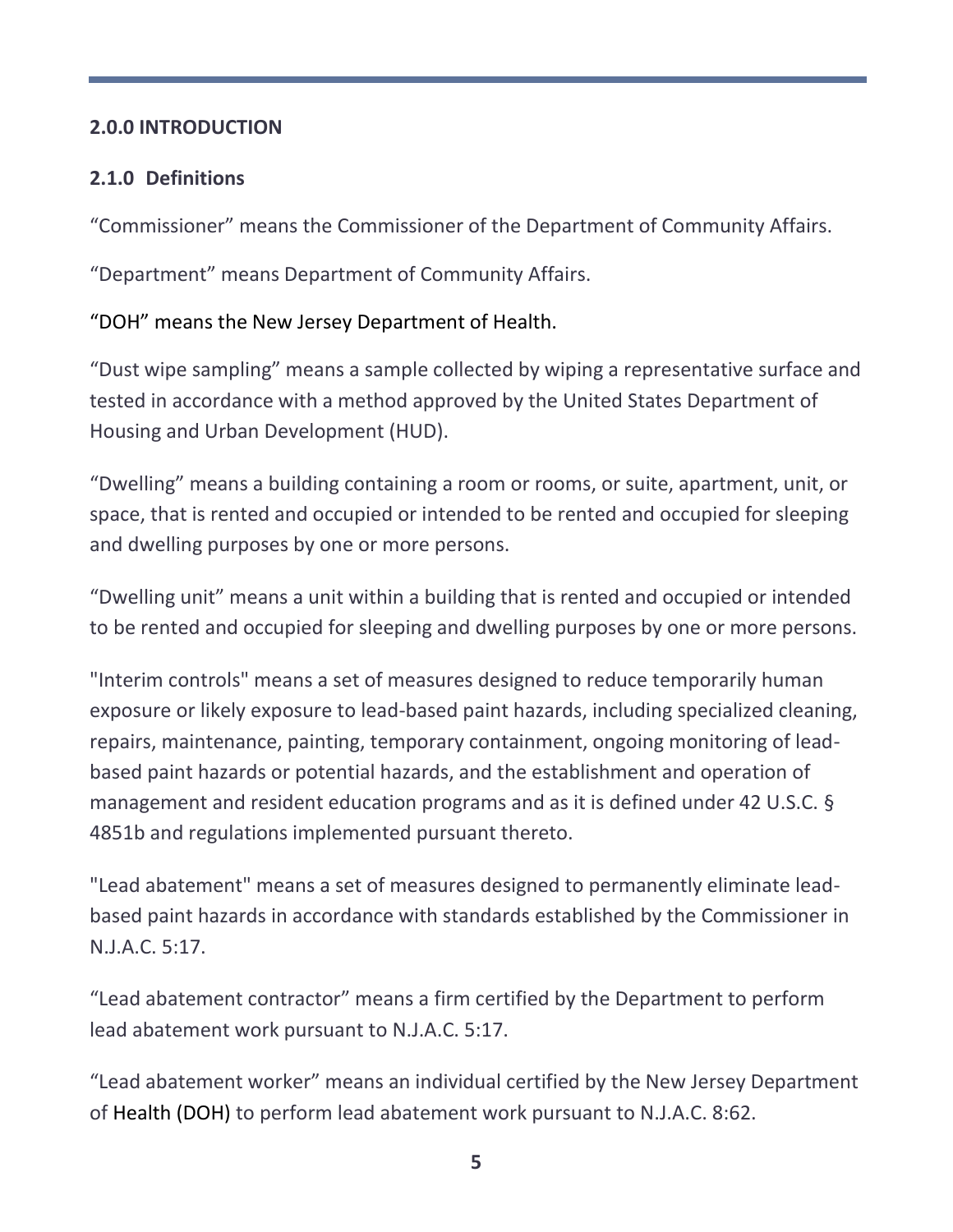## **2.0.0 INTRODUCTION**

# **2.1.0 Definitions**

"Commissioner" means the Commissioner of the Department of Community Affairs.

"Department" means Department of Community Affairs.

# "DOH" means the New Jersey Department of Health.

"Dust wipe sampling" means a sample collected by wiping a representative surface and tested in accordance with a method approved by the United States Department of Housing and Urban Development (HUD).

"Dwelling" means a building containing a room or rooms, or suite, apartment, unit, or space, that is rented and occupied or intended to be rented and occupied for sleeping and dwelling purposes by one or more persons.

"Dwelling unit" means a unit within a building that is rented and occupied or intended to be rented and occupied for sleeping and dwelling purposes by one or more persons.

"Interim controls" means a set of measures designed to reduce temporarily human exposure or likely exposure to lead-based paint hazards, including specialized cleaning, repairs, maintenance, painting, temporary containment, ongoing monitoring of leadbased paint hazards or potential hazards, and the establishment and operation of management and resident education programs and as it is defined under 42 U.S.C. § 4851b and regulations implemented pursuant thereto.

"Lead abatement" means a set of measures designed to permanently eliminate leadbased paint hazards in accordance with standards established by the Commissioner in N.J.A.C. 5:17.

"Lead abatement contractor" means a firm certified by the Department to perform lead abatement work pursuant to N.J.A.C. 5:17.

"Lead abatement worker" means an individual certified by the New Jersey Department of Health (DOH) to perform lead abatement work pursuant to N.J.A.C. 8:62.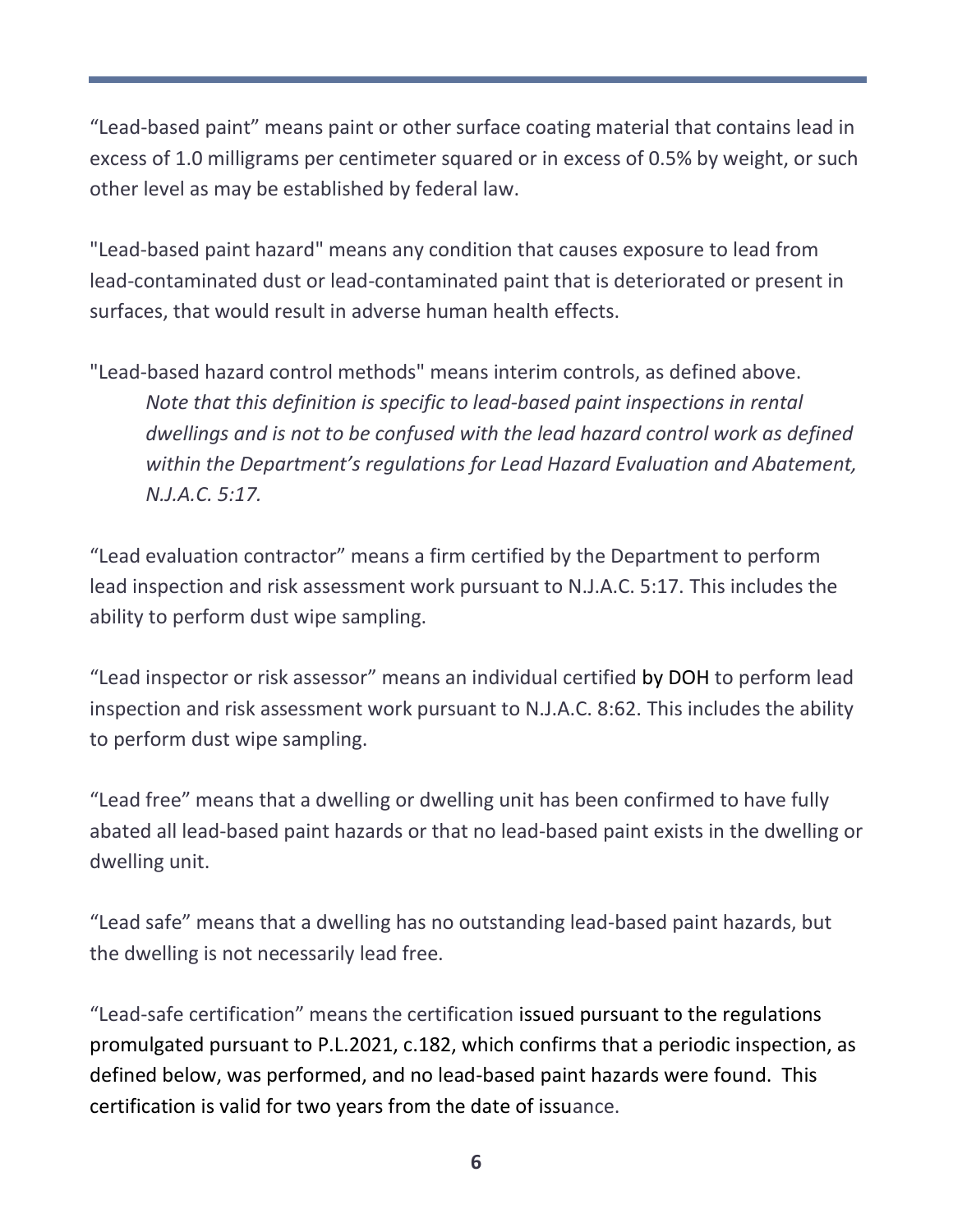"Lead-based paint" means paint or other surface coating material that contains lead in excess of 1.0 milligrams per centimeter squared or in excess of 0.5% by weight, or such other level as may be established by federal law.

"Lead-based paint hazard" means any condition that causes exposure to lead from lead-contaminated dust or lead-contaminated paint that is deteriorated or present in surfaces, that would result in adverse human health effects.

"Lead-based hazard control methods" means interim controls, as defined above. *Note that this definition is specific to lead-based paint inspections in rental dwellings and is not to be confused with the lead hazard control work as defined within the Department's regulations for Lead Hazard Evaluation and Abatement, N.J.A.C. 5:17.*

"Lead evaluation contractor" means a firm certified by the Department to perform lead inspection and risk assessment work pursuant to N.J.A.C. 5:17. This includes the ability to perform dust wipe sampling.

"Lead inspector or risk assessor" means an individual certified by DOH to perform lead inspection and risk assessment work pursuant to N.J.A.C. 8:62. This includes the ability to perform dust wipe sampling.

"Lead free" means that a dwelling or dwelling unit has been confirmed to have fully abated all lead-based paint hazards or that no lead-based paint exists in the dwelling or dwelling unit.

"Lead safe" means that a dwelling has no outstanding lead-based paint hazards, but the dwelling is not necessarily lead free.

"Lead-safe certification" means the certification issued pursuant to the regulations promulgated pursuant to P.L.2021, c.182, which confirms that a periodic inspection, as defined below, was performed, and no lead-based paint hazards were found. This certification is valid for two years from the date of issuance.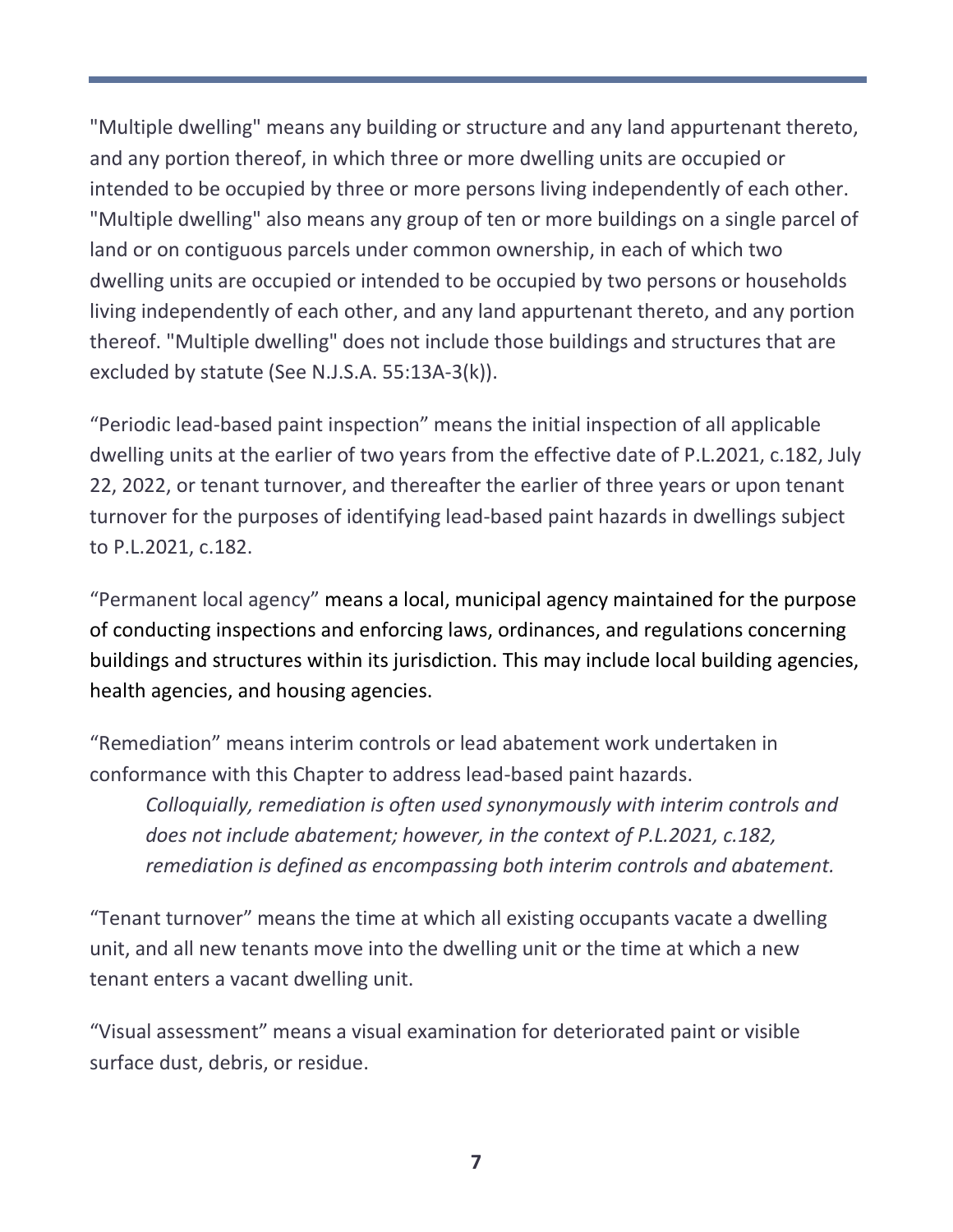"Multiple dwelling" means any building or structure and any land appurtenant thereto, and any portion thereof, in which three or more dwelling units are occupied or intended to be occupied by three or more persons living independently of each other. "Multiple dwelling" also means any group of ten or more buildings on a single parcel of land or on contiguous parcels under common ownership, in each of which two dwelling units are occupied or intended to be occupied by two persons or households living independently of each other, and any land appurtenant thereto, and any portion thereof. "Multiple dwelling" does not include those buildings and structures that are excluded by statute (See N.J.S.A. 55:13A-3(k)).

"Periodic lead-based paint inspection" means the initial inspection of all applicable dwelling units at the earlier of two years from the effective date of P.L.2021, c.182, July 22, 2022, or tenant turnover, and thereafter the earlier of three years or upon tenant turnover for the purposes of identifying lead-based paint hazards in dwellings subject to P.L.2021, c.182.

"Permanent local agency" means a local, municipal agency maintained for the purpose of conducting inspections and enforcing laws, ordinances, and regulations concerning buildings and structures within its jurisdiction. This may include local building agencies, health agencies, and housing agencies.

"Remediation" means interim controls or lead abatement work undertaken in conformance with this Chapter to address lead-based paint hazards.

*Colloquially, remediation is often used synonymously with interim controls and does not include abatement; however, in the context of P.L.2021, c.182, remediation is defined as encompassing both interim controls and abatement.*

"Tenant turnover" means the time at which all existing occupants vacate a dwelling unit, and all new tenants move into the dwelling unit or the time at which a new tenant enters a vacant dwelling unit.

"Visual assessment" means a visual examination for deteriorated paint or visible surface dust, debris, or residue.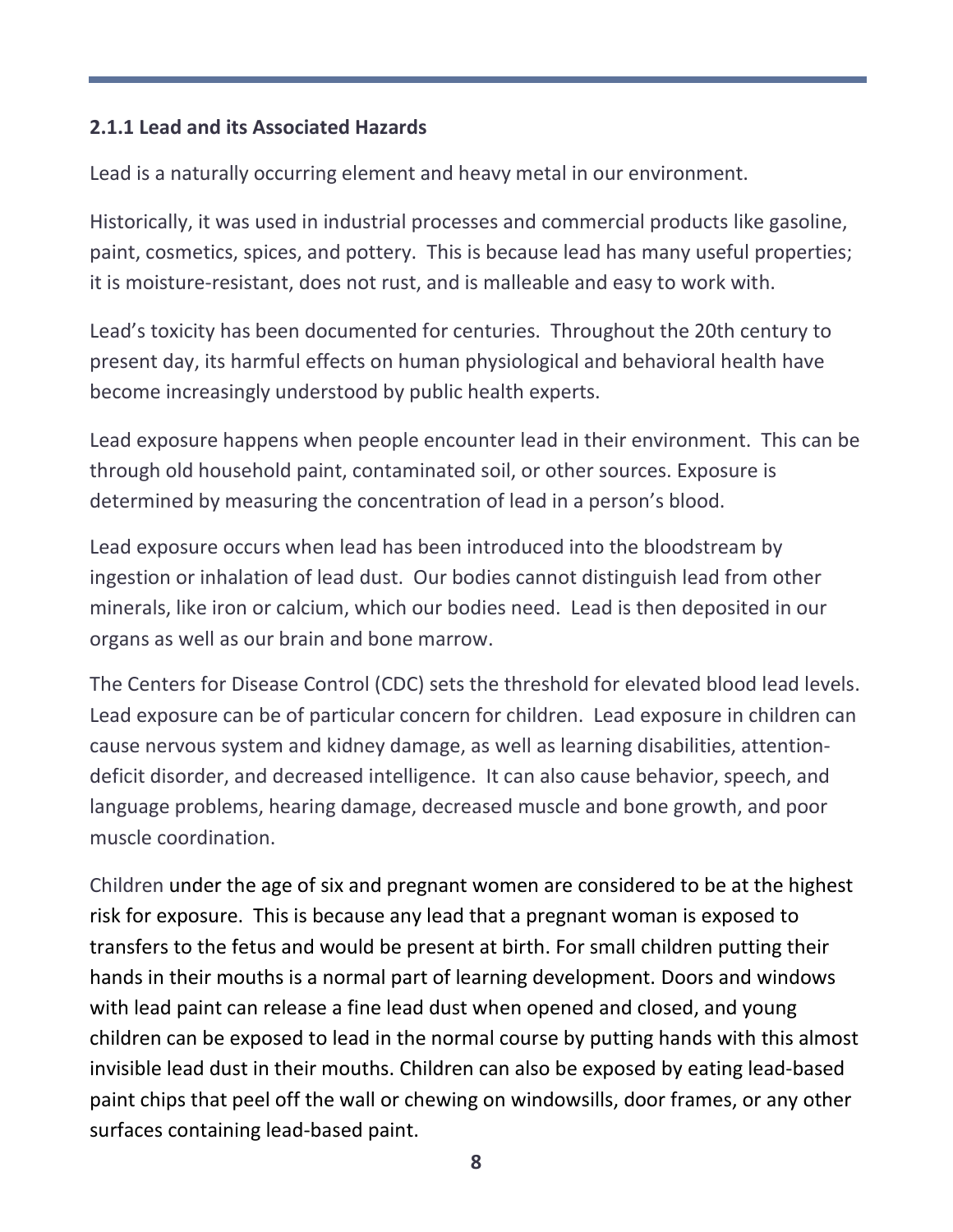## **2.1.1 Lead and its Associated Hazards**

Lead is a naturally occurring element and heavy metal in our environment.

Historically, it was used in industrial processes and commercial products like gasoline, paint, cosmetics, spices, and pottery. This is because lead has many useful properties; it is moisture-resistant, does not rust, and is malleable and easy to work with.

Lead's toxicity has been documented for centuries. Throughout the 20th century to present day, its harmful effects on human physiological and behavioral health have become increasingly understood by public health experts.

Lead exposure happens when people encounter lead in their environment. This can be through old household paint, contaminated soil, or other sources. Exposure is determined by measuring the concentration of lead in a person's blood.

Lead exposure occurs when lead has been introduced into the bloodstream by ingestion or inhalation of lead dust. Our bodies cannot distinguish lead from other minerals, like iron or calcium, which our bodies need. Lead is then deposited in our organs as well as our brain and bone marrow.

The Centers for Disease Control (CDC) sets the threshold for elevated blood lead levels. Lead exposure can be of particular concern for children. Lead exposure in children can cause nervous system and kidney damage, as well as learning disabilities, attentiondeficit disorder, and decreased intelligence. It can also cause behavior, speech, and language problems, hearing damage, decreased muscle and bone growth, and poor muscle coordination.

Children under the age of six and pregnant women are considered to be at the highest risk for exposure. This is because any lead that a pregnant woman is exposed to transfers to the fetus and would be present at birth. For small children putting their hands in their mouths is a normal part of learning development. Doors and windows with lead paint can release a fine lead dust when opened and closed, and young children can be exposed to lead in the normal course by putting hands with this almost invisible lead dust in their mouths. Children can also be exposed by eating lead-based paint chips that peel off the wall or chewing on windowsills, door frames, or any other surfaces containing lead-based paint.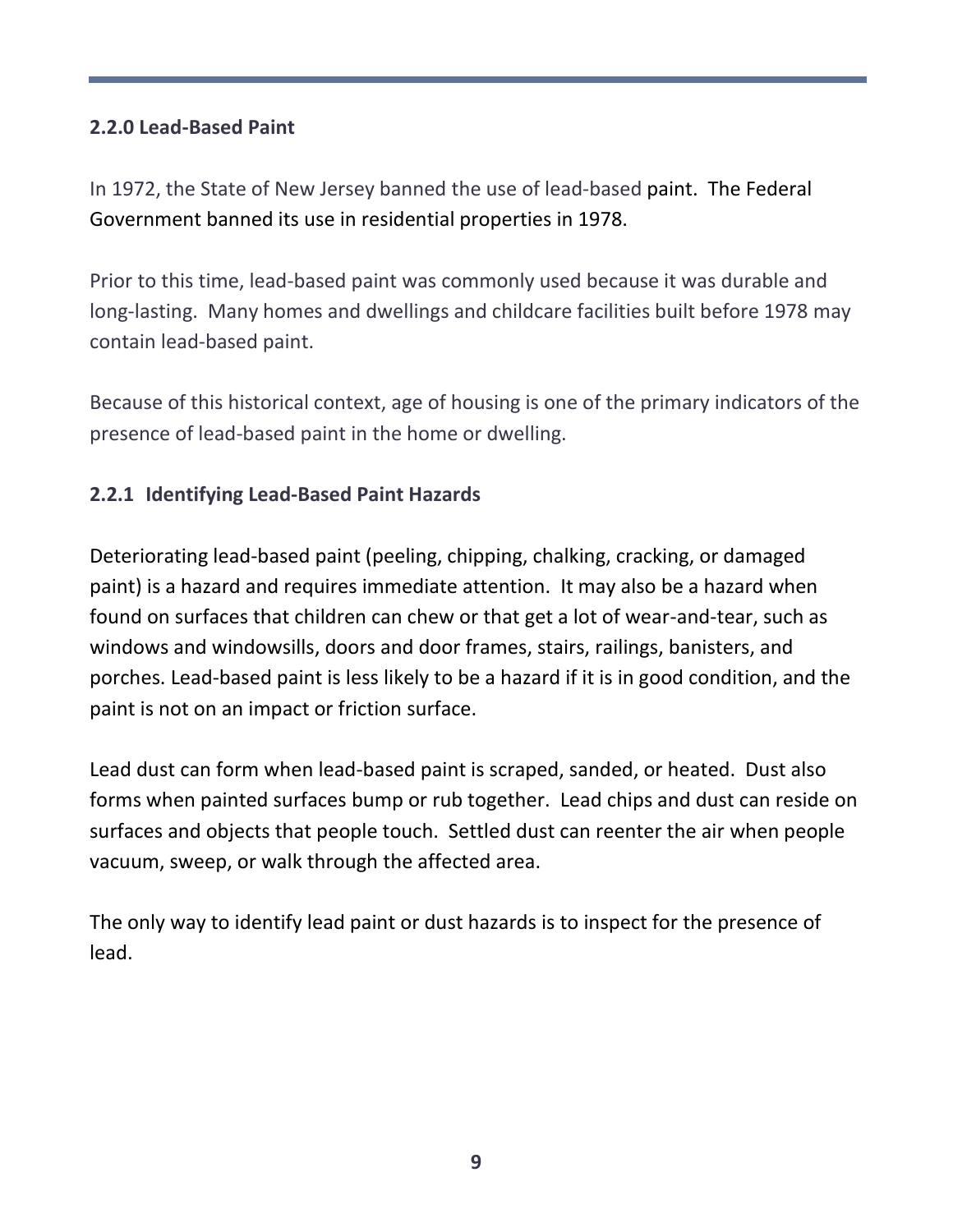# **2.2.0 Lead-Based Paint**

In 1972, the State of New Jersey banned the use of lead-based paint. The Federal Government banned its use in residential properties in 1978.

Prior to this time, lead-based paint was commonly used because it was durable and long-lasting. Many homes and dwellings and childcare facilities built before 1978 may contain lead-based paint.

Because of this historical context, age of housing is one of the primary indicators of the presence of lead-based paint in the home or dwelling.

# **2.2.1 Identifying Lead-Based Paint Hazards**

Deteriorating lead-based paint (peeling, chipping, chalking, cracking, or damaged paint) is a hazard and requires immediate attention. It may also be a hazard when found on surfaces that children can chew or that get a lot of wear-and-tear, such as windows and windowsills, doors and door frames, stairs, railings, banisters, and porches. Lead-based paint is less likely to be a hazard if it is in good condition, and the paint is not on an impact or friction surface.

Lead dust can form when lead-based paint is scraped, sanded, or heated. Dust also forms when painted surfaces bump or rub together. Lead chips and dust can reside on surfaces and objects that people touch. Settled dust can reenter the air when people vacuum, sweep, or walk through the affected area.

The only way to identify lead paint or dust hazards is to inspect for the presence of lead.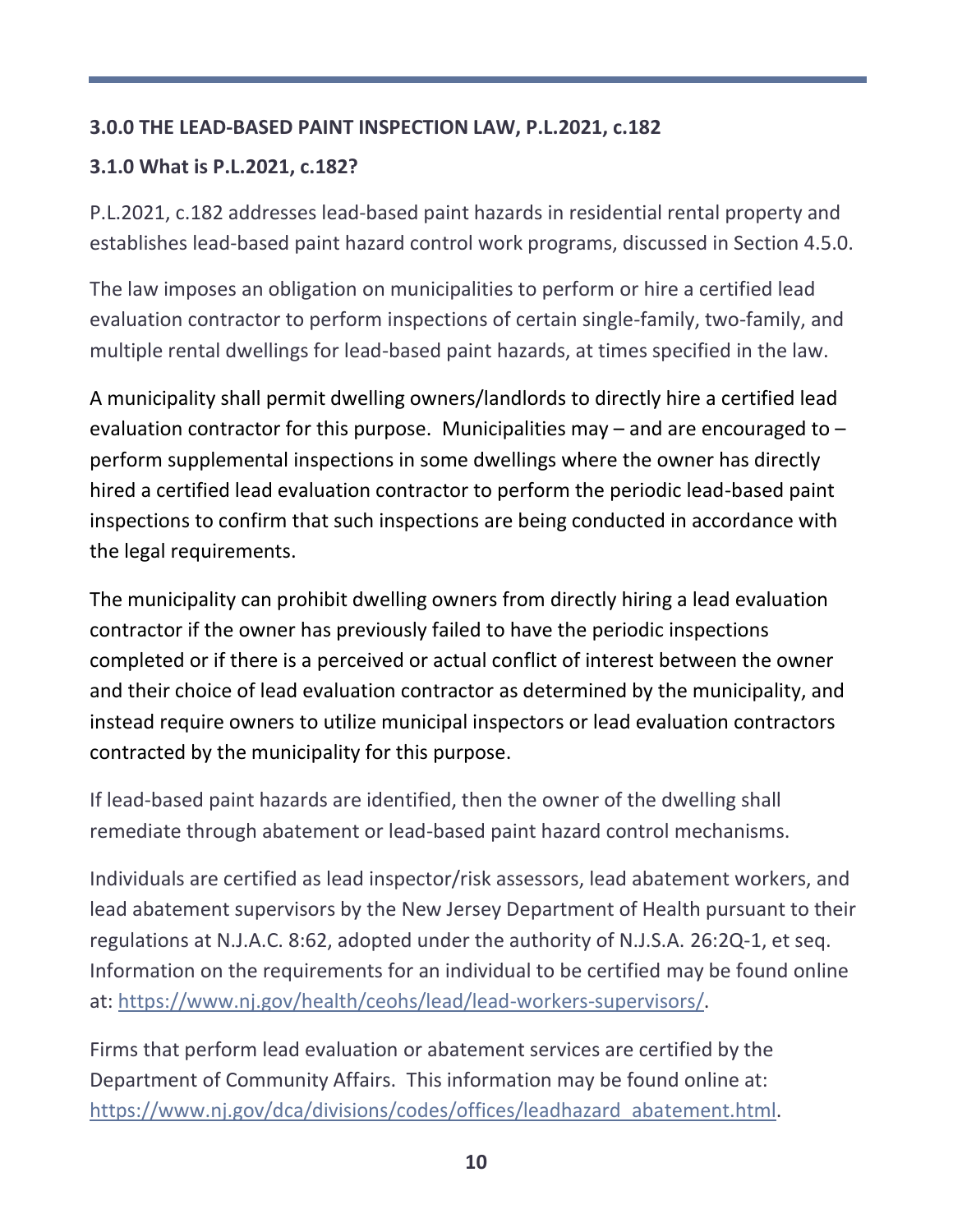#### **3.0.0 THE LEAD-BASED PAINT INSPECTION LAW, P.L.2021, c.182**

#### **3.1.0 What is P.L.2021, c.182?**

P.L.2021, c.182 addresses lead-based paint hazards in residential rental property and establishes lead-based paint hazard control work programs, discussed in Section 4.5.0.

The law imposes an obligation on municipalities to perform or hire a certified lead evaluation contractor to perform inspections of certain single-family, two-family, and multiple rental dwellings for lead-based paint hazards, at times specified in the law.

A municipality shall permit dwelling owners/landlords to directly hire a certified lead evaluation contractor for this purpose. Municipalities may  $-$  and are encouraged to  $$ perform supplemental inspections in some dwellings where the owner has directly hired a certified lead evaluation contractor to perform the periodic lead-based paint inspections to confirm that such inspections are being conducted in accordance with the legal requirements.

The municipality can prohibit dwelling owners from directly hiring a lead evaluation contractor if the owner has previously failed to have the periodic inspections completed or if there is a perceived or actual conflict of interest between the owner and their choice of lead evaluation contractor as determined by the municipality, and instead require owners to utilize municipal inspectors or lead evaluation contractors contracted by the municipality for this purpose.

If lead-based paint hazards are identified, then the owner of the dwelling shall remediate through abatement or lead-based paint hazard control mechanisms.

Individuals are certified as lead inspector/risk assessors, lead abatement workers, and lead abatement supervisors by the New Jersey Department of Health pursuant to their regulations at N.J.A.C. 8:62, adopted under the authority of N.J.S.A. 26:2Q-1, et seq. Information on the requirements for an individual to be certified may be found online at: [https://www.nj.gov/health/ceohs/lead/lead-workers-supervisors/.](https://www.nj.gov/health/ceohs/lead/lead-workers-supervisors/)

Firms that perform lead evaluation or abatement services are certified by the Department of Community Affairs. This information may be found online at: [https://www.nj.gov/dca/divisions/codes/offices/leadhazard\\_abatement.html.](https://www.nj.gov/dca/divisions/codes/offices/leadhazard_abatement.html)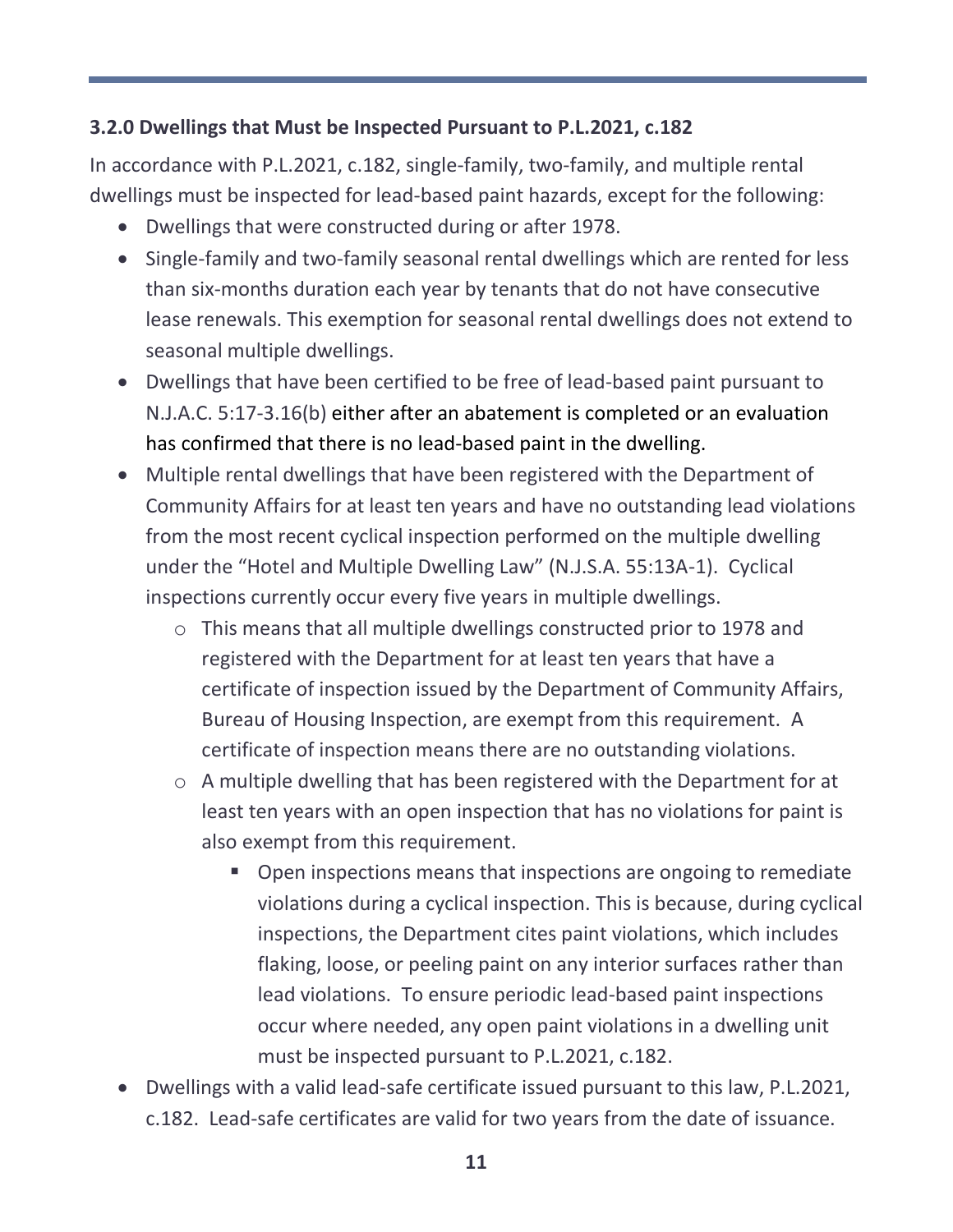#### **3.2.0 Dwellings that Must be Inspected Pursuant to P.L.2021, c.182**

In accordance with P.L.2021, c.182, single-family, two-family, and multiple rental dwellings must be inspected for lead-based paint hazards, except for the following:

- Dwellings that were constructed during or after 1978.
- Single-family and two-family seasonal rental dwellings which are rented for less than six-months duration each year by tenants that do not have consecutive lease renewals. This exemption for seasonal rental dwellings does not extend to seasonal multiple dwellings.
- Dwellings that have been certified to be free of lead-based paint pursuant to N.J.A.C. 5:17-3.16(b) either after an abatement is completed or an evaluation has confirmed that there is no lead-based paint in the dwelling.
- Multiple rental dwellings that have been registered with the Department of Community Affairs for at least ten years and have no outstanding lead violations from the most recent cyclical inspection performed on the multiple dwelling under the "Hotel and Multiple Dwelling Law" (N.J.S.A. 55:13A-1). Cyclical inspections currently occur every five years in multiple dwellings.
	- o This means that all multiple dwellings constructed prior to 1978 and registered with the Department for at least ten years that have a certificate of inspection issued by the Department of Community Affairs, Bureau of Housing Inspection, are exempt from this requirement. A certificate of inspection means there are no outstanding violations.
	- o A multiple dwelling that has been registered with the Department for at least ten years with an open inspection that has no violations for paint is also exempt from this requirement.
		- Open inspections means that inspections are ongoing to remediate violations during a cyclical inspection. This is because, during cyclical inspections, the Department cites paint violations, which includes flaking, loose, or peeling paint on any interior surfaces rather than lead violations. To ensure periodic lead-based paint inspections occur where needed, any open paint violations in a dwelling unit must be inspected pursuant to P.L.2021, c.182.
- Dwellings with a valid lead-safe certificate issued pursuant to this law, P.L.2021, c.182. Lead-safe certificates are valid for two years from the date of issuance.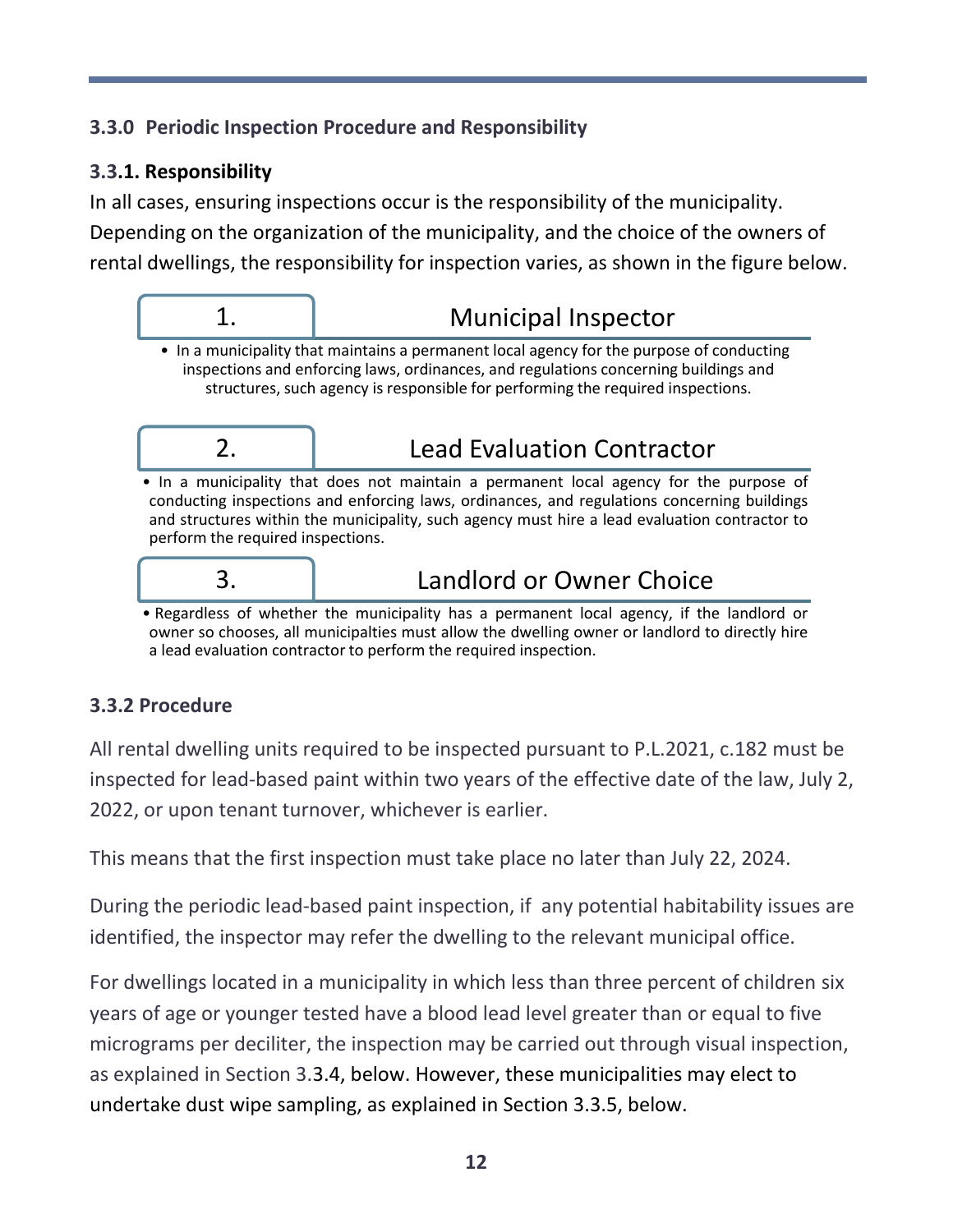# **3.3.0 Periodic Inspection Procedure and Responsibility**

# **3.3.1. Responsibility**

In all cases, ensuring inspections occur is the responsibility of the municipality. Depending on the organization of the municipality, and the choice of the owners of rental dwellings, the responsibility for inspection varies, as shown in the figure below.



# 1. Municipal Inspector

• In a municipality that maintains a permanent local agency for the purpose of conducting inspections and enforcing laws, ordinances, and regulations concerning buildings and structures, such agency is responsible for performing the required inspections.



# 2. Lead Evaluation Contractor

• In a municipality that does not maintain a permanent local agency for the purpose of conducting inspections and enforcing laws, ordinances, and regulations concerning buildings and structures within the municipality, such agency must hire a lead evaluation contractor to perform the required inspections.



# 3. Landlord or Owner Choice

• Regardless of whether the municipality has a permanent local agency, if the landlord or owner so chooses, all municipalties must allow the dwelling owner or landlord to directly hire a lead evaluation contractor to perform the required inspection.

# **3.3.2 Procedure**

All rental dwelling units required to be inspected pursuant to P.L.2021, c.182 must be inspected for lead-based paint within two years of the effective date of the law, July 2, 2022, or upon tenant turnover, whichever is earlier.

This means that the first inspection must take place no later than July 22, 2024.

During the periodic lead-based paint inspection, if any potential habitability issues are identified, the inspector may refer the dwelling to the relevant municipal office.

For dwellings located in a municipality in which less than three percent of children six years of age or younger tested have a blood lead level greater than or equal to five micrograms per deciliter, the inspection may be carried out through visual inspection, as explained in Section 3.3.4, below. However, these municipalities may elect to undertake dust wipe sampling, as explained in Section 3.3.5, below.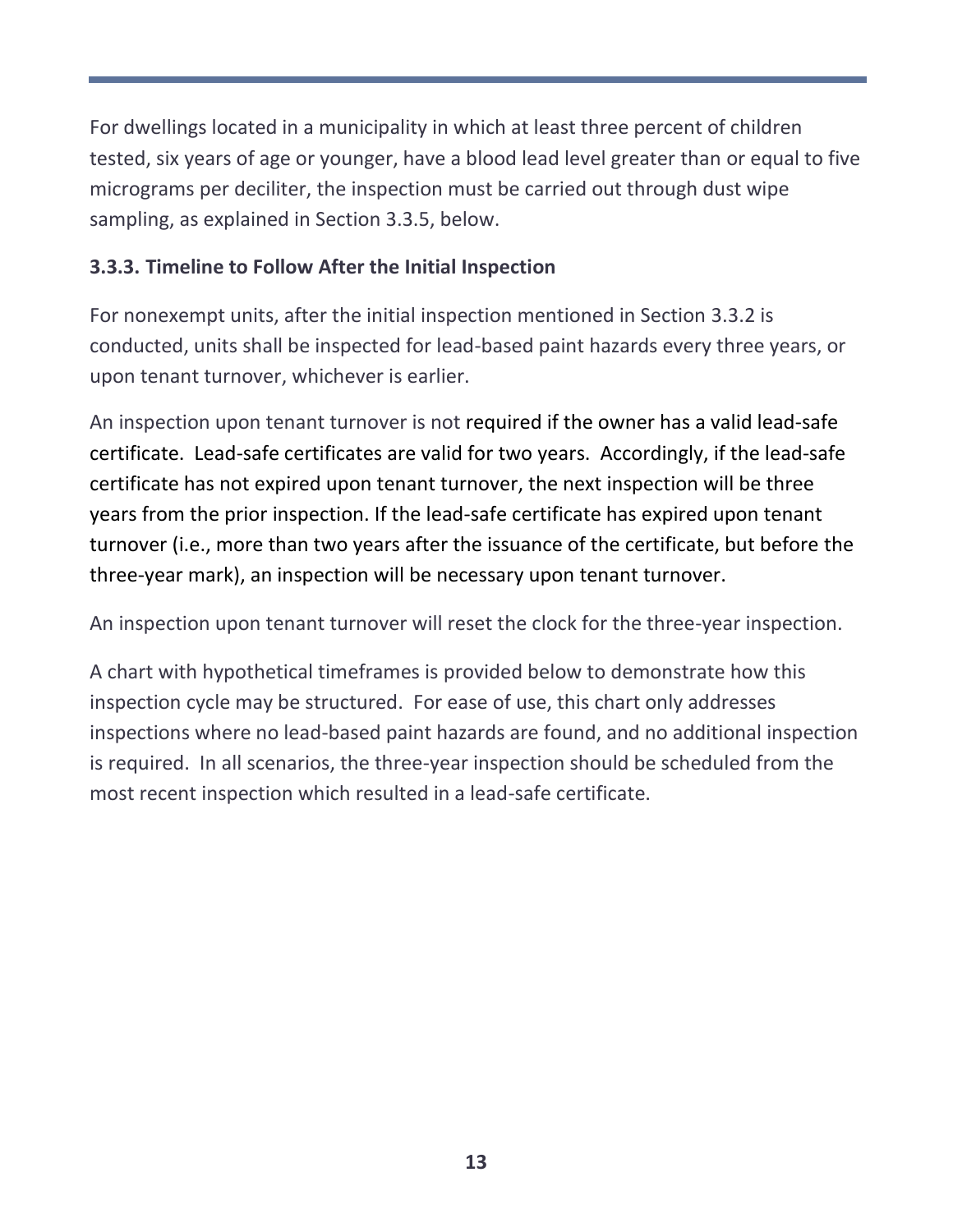For dwellings located in a municipality in which at least three percent of children tested, six years of age or younger, have a blood lead level greater than or equal to five micrograms per deciliter, the inspection must be carried out through dust wipe sampling, as explained in Section 3.3.5, below.

## **3.3.3. Timeline to Follow After the Initial Inspection**

For nonexempt units, after the initial inspection mentioned in Section 3.3.2 is conducted, units shall be inspected for lead-based paint hazards every three years, or upon tenant turnover, whichever is earlier.

An inspection upon tenant turnover is not required if the owner has a valid lead-safe certificate. Lead-safe certificates are valid for two years. Accordingly, if the lead-safe certificate has not expired upon tenant turnover, the next inspection will be three years from the prior inspection. If the lead-safe certificate has expired upon tenant turnover (i.e., more than two years after the issuance of the certificate, but before the three-year mark), an inspection will be necessary upon tenant turnover.

An inspection upon tenant turnover will reset the clock for the three-year inspection.

A chart with hypothetical timeframes is provided below to demonstrate how this inspection cycle may be structured. For ease of use, this chart only addresses inspections where no lead-based paint hazards are found, and no additional inspection is required. In all scenarios, the three-year inspection should be scheduled from the most recent inspection which resulted in a lead-safe certificate.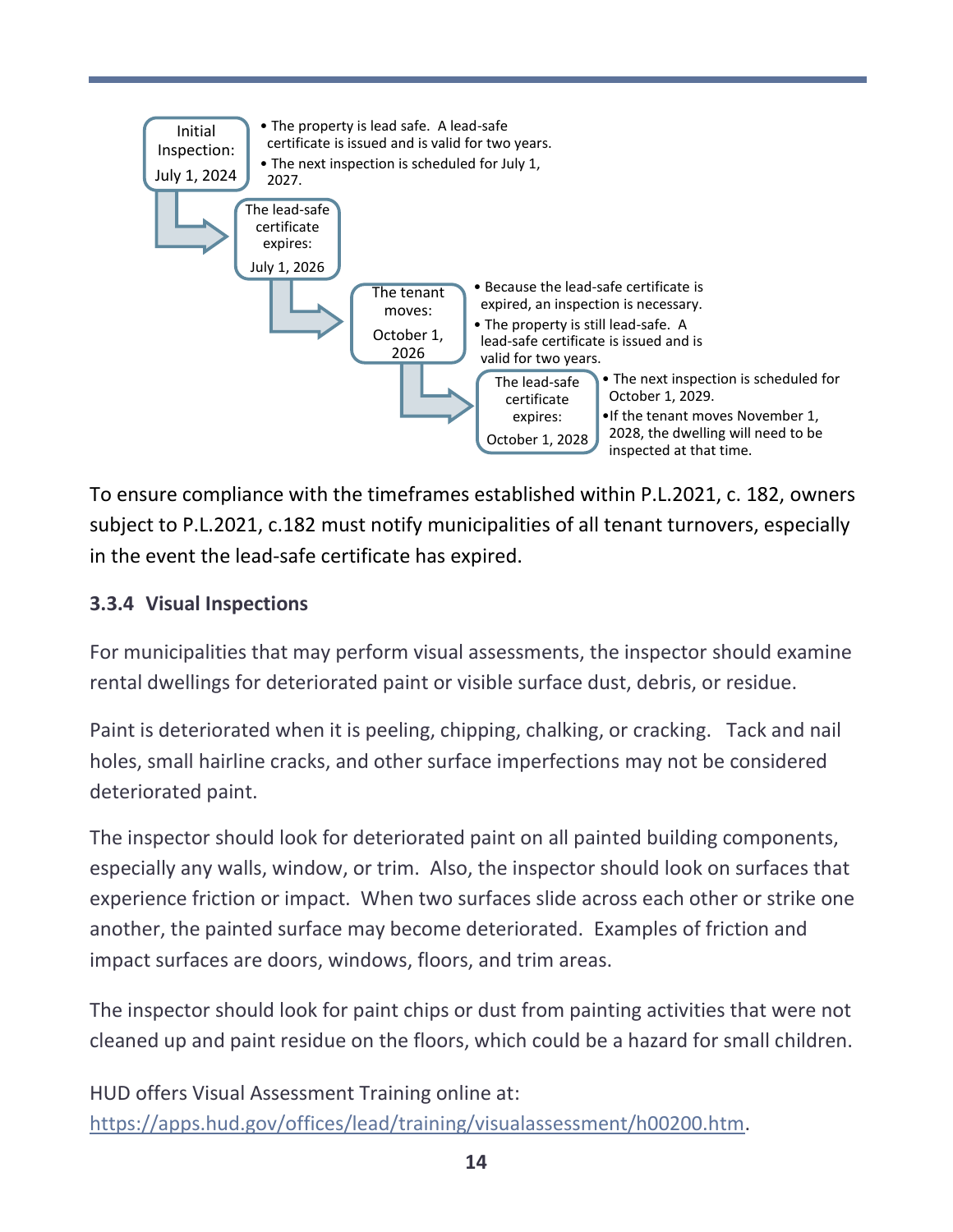

To ensure compliance with the timeframes established within P.L.2021, c. 182, owners subject to P.L.2021, c.182 must notify municipalities of all tenant turnovers, especially in the event the lead-safe certificate has expired.

# **3.3.4 Visual Inspections**

For municipalities that may perform visual assessments, the inspector should examine rental dwellings for deteriorated paint or visible surface dust, debris, or residue.

Paint is deteriorated when it is peeling, chipping, chalking, or cracking. Tack and nail holes, small hairline cracks, and other surface imperfections may not be considered deteriorated paint.

The inspector should look for deteriorated paint on all painted building components, especially any walls, window, or trim. Also, the inspector should look on surfaces that experience friction or impact. When two surfaces slide across each other or strike one another, the painted surface may become deteriorated. Examples of friction and impact surfaces are doors, windows, floors, and trim areas.

The inspector should look for paint chips or dust from painting activities that were not cleaned up and paint residue on the floors, which could be a hazard for small children.

HUD offers Visual Assessment Training online at: [https://apps.hud.gov/offices/lead/training/visualassessment/h00200.htm.](https://apps.hud.gov/offices/lead/training/visualassessment/h00200.htm)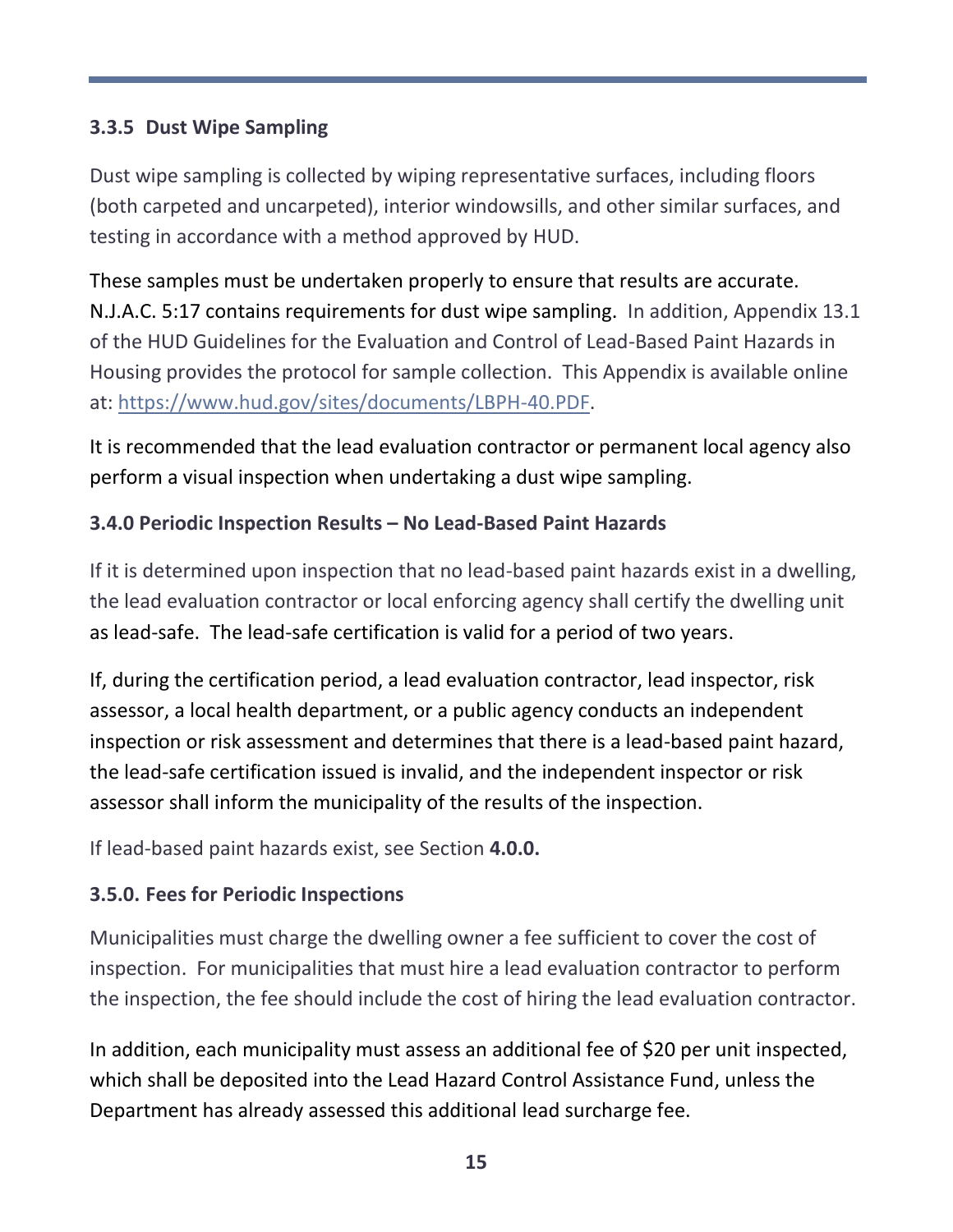# **3.3.5 Dust Wipe Sampling**

Dust wipe sampling is collected by wiping representative surfaces, including floors (both carpeted and uncarpeted), interior windowsills, and other similar surfaces, and testing in accordance with a method approved by HUD.

These samples must be undertaken properly to ensure that results are accurate. N.J.A.C. 5:17 contains requirements for dust wipe sampling. In addition, Appendix 13.1 of the HUD Guidelines for the Evaluation and Control of Lead-Based Paint Hazards in Housing provides the protocol for sample collection. This Appendix is available online at: [https://www.hud.gov/sites/documents/LBPH-40.PDF.](https://www.hud.gov/sites/documents/LBPH-40.PDF)

It is recommended that the lead evaluation contractor or permanent local agency also perform a visual inspection when undertaking a dust wipe sampling.

## **3.4.0 Periodic Inspection Results – No Lead-Based Paint Hazards**

If it is determined upon inspection that no lead-based paint hazards exist in a dwelling, the lead evaluation contractor or local enforcing agency shall certify the dwelling unit as lead-safe. The lead-safe certification is valid for a period of two years.

If, during the certification period, a lead evaluation contractor, lead inspector, risk assessor, a local health department, or a public agency conducts an independent inspection or risk assessment and determines that there is a lead-based paint hazard, the lead-safe certification issued is invalid, and the independent inspector or risk assessor shall inform the municipality of the results of the inspection.

If lead-based paint hazards exist, see Section **4.0.0.**

## **3.5.0. Fees for Periodic Inspections**

Municipalities must charge the dwelling owner a fee sufficient to cover the cost of inspection. For municipalities that must hire a lead evaluation contractor to perform the inspection, the fee should include the cost of hiring the lead evaluation contractor.

In addition, each municipality must assess an additional fee of \$20 per unit inspected, which shall be deposited into the Lead Hazard Control Assistance Fund, unless the Department has already assessed this additional lead surcharge fee.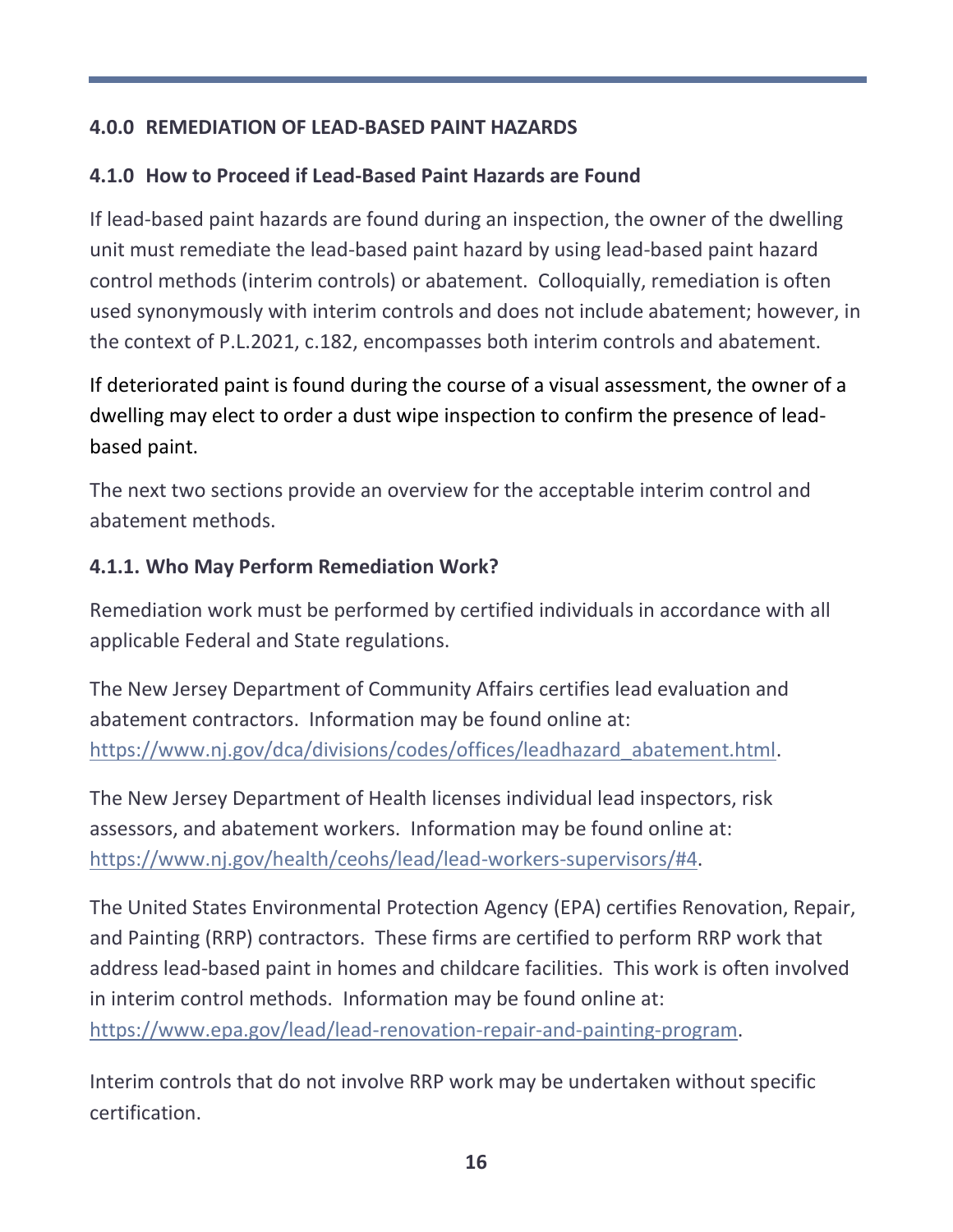## **4.0.0 REMEDIATION OF LEAD-BASED PAINT HAZARDS**

# **4.1.0 How to Proceed if Lead-Based Paint Hazards are Found**

If lead-based paint hazards are found during an inspection, the owner of the dwelling unit must remediate the lead-based paint hazard by using lead-based paint hazard control methods (interim controls) or abatement. Colloquially, remediation is often used synonymously with interim controls and does not include abatement; however, in the context of P.L.2021, c.182, encompasses both interim controls and abatement.

If deteriorated paint is found during the course of a visual assessment, the owner of a dwelling may elect to order a dust wipe inspection to confirm the presence of leadbased paint.

The next two sections provide an overview for the acceptable interim control and abatement methods.

#### **4.1.1. Who May Perform Remediation Work?**

Remediation work must be performed by certified individuals in accordance with all applicable Federal and State regulations.

The New Jersey Department of Community Affairs certifies lead evaluation and abatement contractors. Information may be found online at: [https://www.nj.gov/dca/divisions/codes/offices/leadhazard\\_abatement.html.](https://www.nj.gov/dca/divisions/codes/offices/leadhazard_abatement.html)

The New Jersey Department of Health licenses individual lead inspectors, risk assessors, and abatement workers. Information may be found online at: [https://www.nj.gov/health/ceohs/lead/lead-workers-supervisors/#4.](https://www.nj.gov/health/ceohs/lead/lead-workers-supervisors/#4)

The United States Environmental Protection Agency (EPA) certifies Renovation, Repair, and Painting (RRP) contractors. These firms are certified to perform RRP work that address lead-based paint in homes and childcare facilities. This work is often involved in interim control methods. Information may be found online at: [https://www.epa.gov/lead/lead-renovation-repair-and-painting-program.](https://www.epa.gov/lead/lead-renovation-repair-and-painting-program)

Interim controls that do not involve RRP work may be undertaken without specific certification.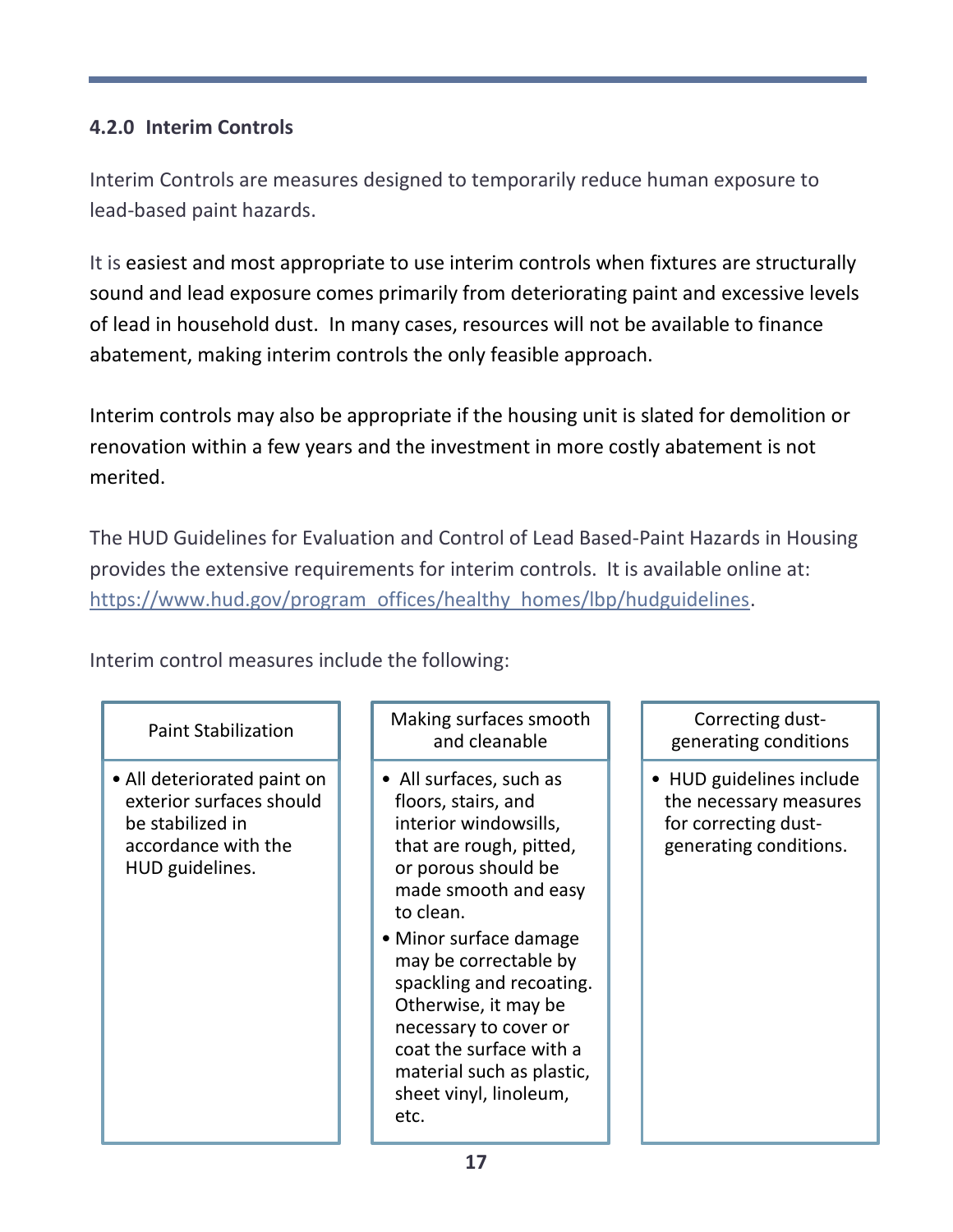# **4.2.0 Interim Controls**

Interim Controls are measures designed to temporarily reduce human exposure to lead-based paint hazards.

It is easiest and most appropriate to use interim controls when fixtures are structurally sound and lead exposure comes primarily from deteriorating paint and excessive levels of lead in household dust. In many cases, resources will not be available to finance abatement, making interim controls the only feasible approach.

Interim controls may also be appropriate if the housing unit is slated for demolition or renovation within a few years and the investment in more costly abatement is not merited.

The HUD Guidelines for Evaluation and Control of Lead Based-Paint Hazards in Housing provides the extensive requirements for interim controls. It is available online at: [https://www.hud.gov/program\\_offices/healthy\\_homes/lbp/hudguidelines.](https://www.hud.gov/program_offices/healthy_homes/lbp/hudguidelines)

Interim control measures include the following:

#### Paint Stabilization

• All deteriorated paint on exterior surfaces should be stabilized in accordance with the HUD guidelines.

#### Making surfaces smooth and cleanable

• All surfaces, such as floors, stairs, and interior windowsills, that are rough, pitted, or porous should be made smooth and easy to clean.

• Minor surface damage may be correctable by spackling and recoating. Otherwise, it may be necessary to cover or coat the surface with a material such as plastic, sheet vinyl, linoleum, etc.

Correcting dustgenerating conditions

• HUD guidelines include the necessary measures for correcting dustgenerating conditions.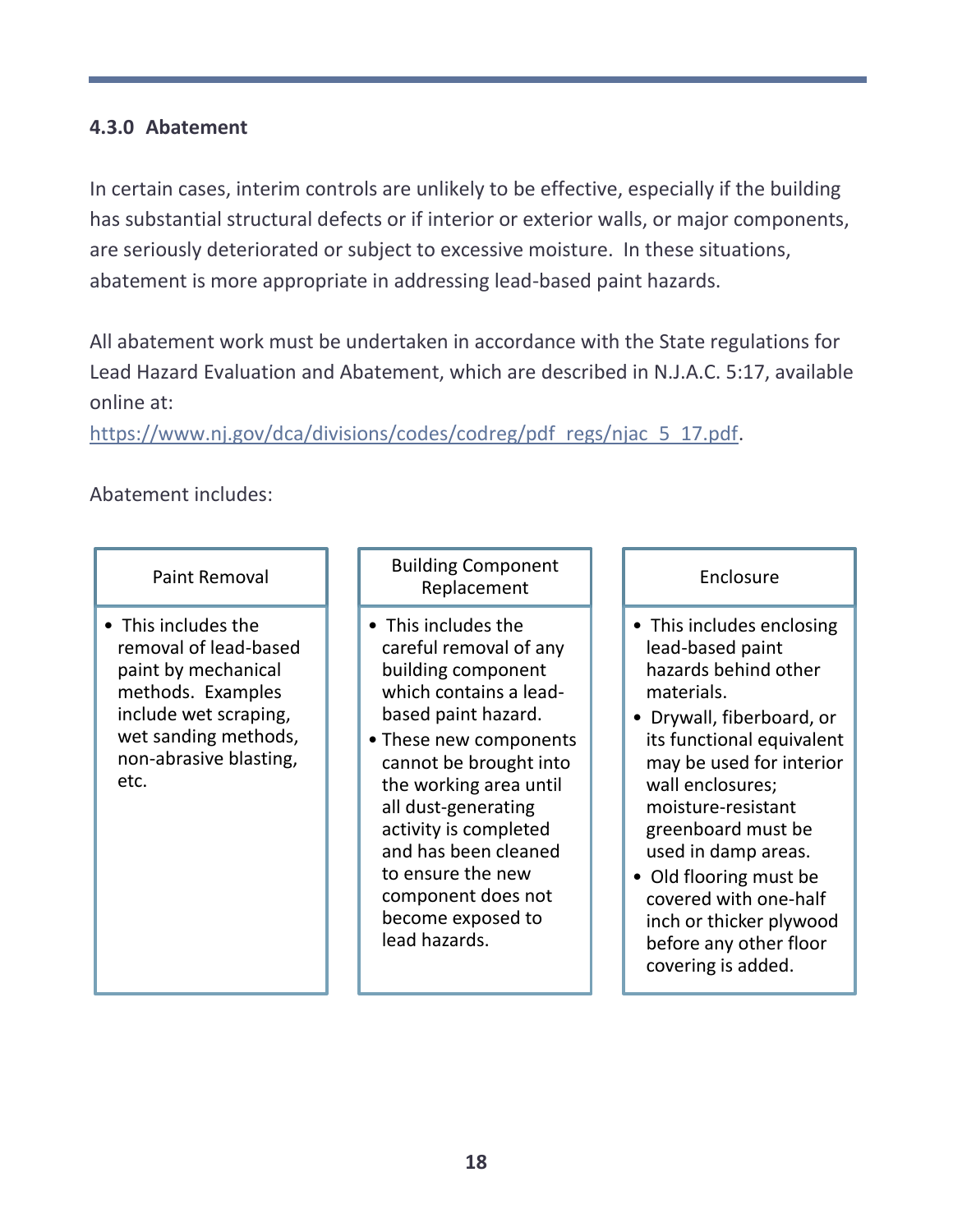#### **4.3.0 Abatement**

In certain cases, interim controls are unlikely to be effective, especially if the building has substantial structural defects or if interior or exterior walls, or major components, are seriously deteriorated or subject to excessive moisture. In these situations, abatement is more appropriate in addressing lead-based paint hazards.

All abatement work must be undertaken in accordance with the State regulations for Lead Hazard Evaluation and Abatement, which are described in N.J.A.C. 5:17, available online at:

[https://www.nj.gov/dca/divisions/codes/codreg/pdf\\_regs/njac\\_5\\_17.pdf.](https://www.nj.gov/dca/divisions/codes/codreg/pdf_regs/njac_5_17.pdf)

#### Abatement includes:

#### Paint Removal

• This includes the removal of lead-based paint by mechanical methods. Examples include wet scraping, wet sanding methods, non-abrasive blasting, etc.

#### Building Component Replacement

- This includes the careful removal of any building component which contains a leadbased paint hazard.
- These new components cannot be brought into the working area until all dust-generating activity is completed and has been cleaned to ensure the new component does not become exposed to lead hazards.

#### Enclosure

- This includes enclosing lead-based paint hazards behind other materials.
- Drywall, fiberboard, or its functional equivalent may be used for interior wall enclosures; moisture-resistant greenboard must be used in damp areas.
- Old flooring must be covered with one-half inch or thicker plywood before any other floor covering is added.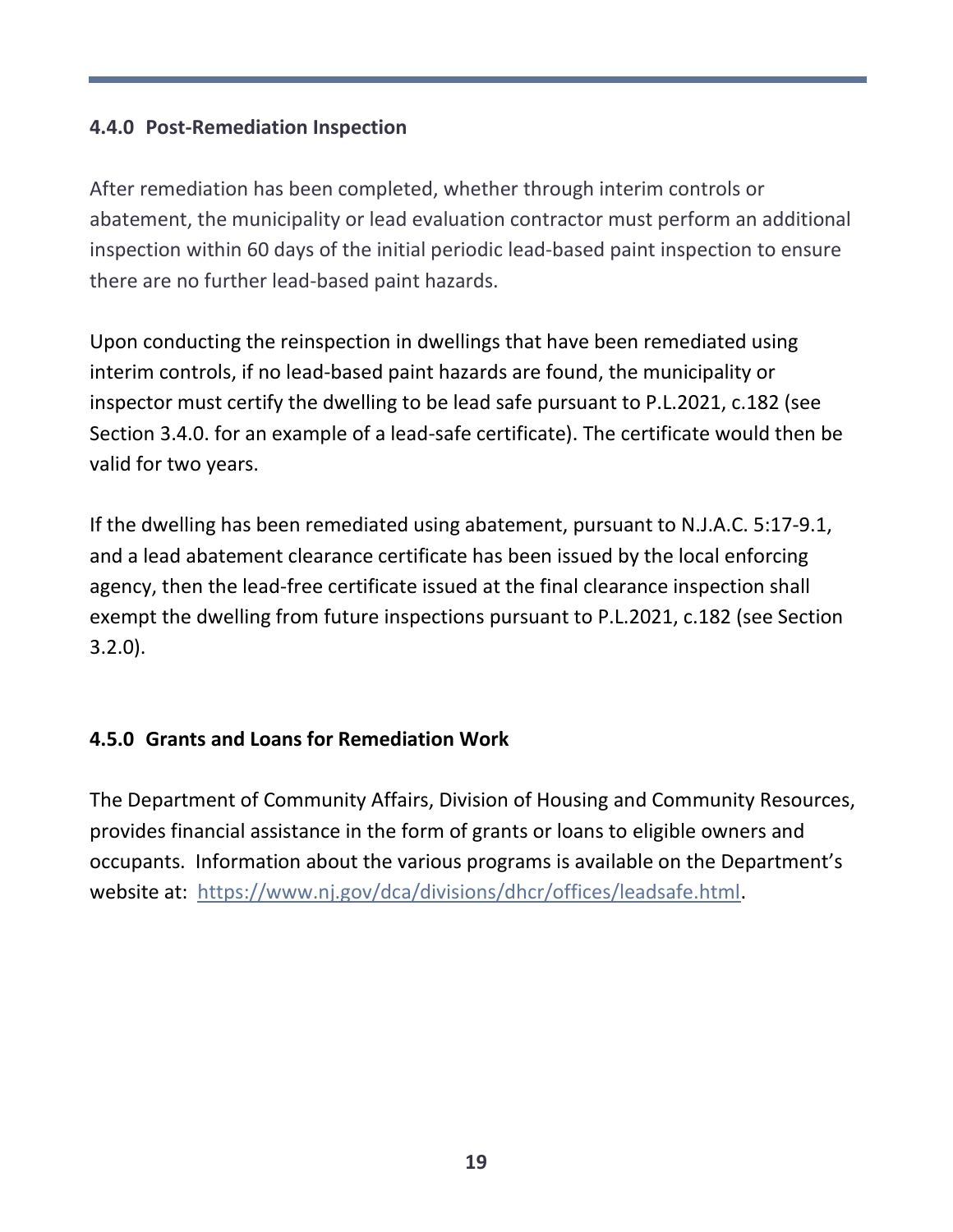#### **4.4.0 Post-Remediation Inspection**

After remediation has been completed, whether through interim controls or abatement, the municipality or lead evaluation contractor must perform an additional inspection within 60 days of the initial periodic lead-based paint inspection to ensure there are no further lead-based paint hazards.

Upon conducting the reinspection in dwellings that have been remediated using interim controls, if no lead-based paint hazards are found, the municipality or inspector must certify the dwelling to be lead safe pursuant to P.L.2021, c.182 (see Section 3.4.0. for an example of a lead-safe certificate). The certificate would then be valid for two years.

If the dwelling has been remediated using abatement, pursuant to N.J.A.C. 5:17-9.1, and a lead abatement clearance certificate has been issued by the local enforcing agency, then the lead-free certificate issued at the final clearance inspection shall exempt the dwelling from future inspections pursuant to P.L.2021, c.182 (see Section 3.2.0).

## **4.5.0 Grants and Loans for Remediation Work**

The Department of Community Affairs, Division of Housing and Community Resources, provides financial assistance in the form of grants or loans to eligible owners and occupants. Information about the various programs is available on the Department's website at: [https://www.nj.gov/dca/divisions/dhcr/offices/leadsafe.html.](https://www.nj.gov/dca/divisions/dhcr/offices/leadsafe.html)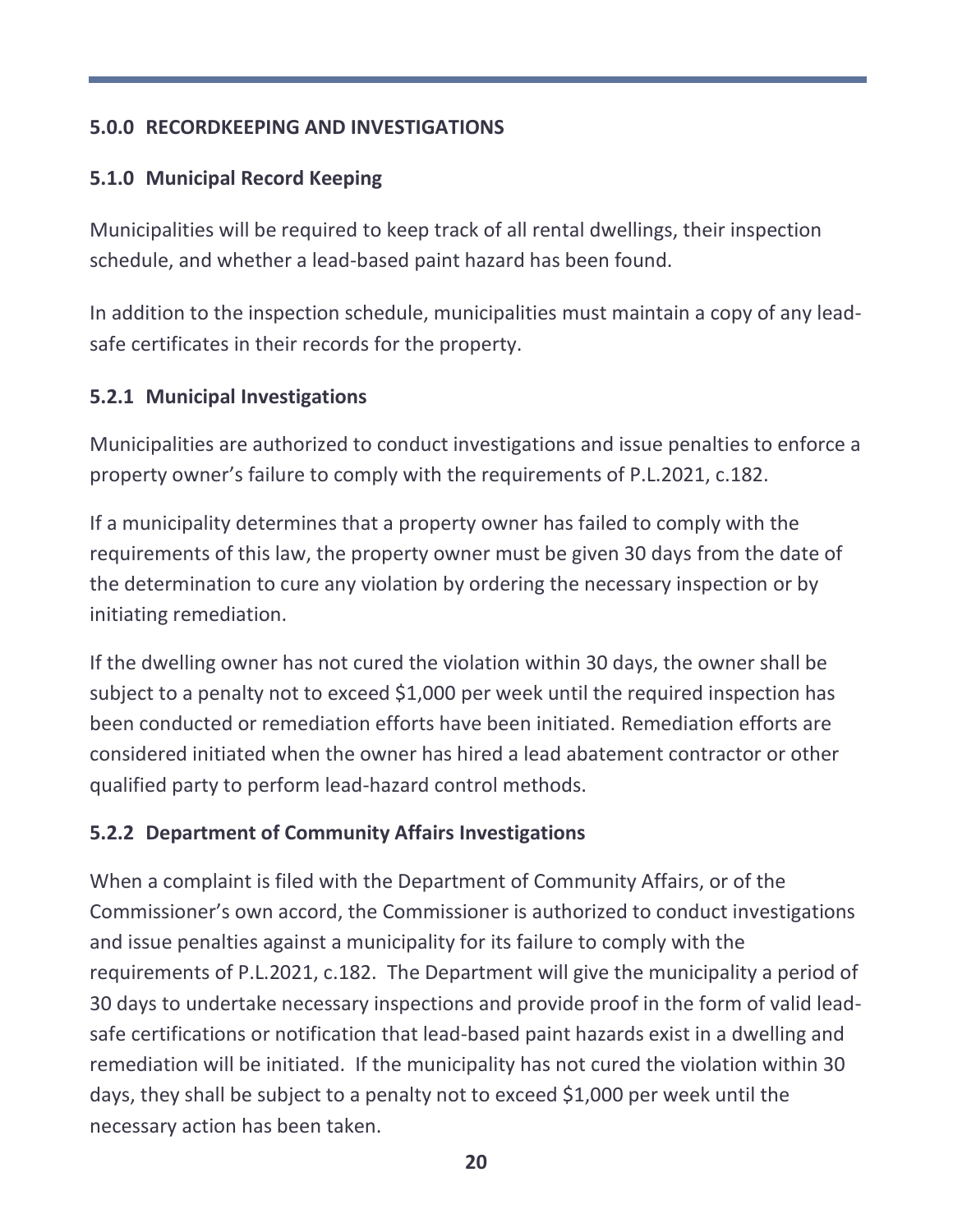# **5.0.0 RECORDKEEPING AND INVESTIGATIONS**

# **5.1.0 Municipal Record Keeping**

Municipalities will be required to keep track of all rental dwellings, their inspection schedule, and whether a lead-based paint hazard has been found.

In addition to the inspection schedule, municipalities must maintain a copy of any leadsafe certificates in their records for the property.

## **5.2.1 Municipal Investigations**

Municipalities are authorized to conduct investigations and issue penalties to enforce a property owner's failure to comply with the requirements of P.L.2021, c.182.

If a municipality determines that a property owner has failed to comply with the requirements of this law, the property owner must be given 30 days from the date of the determination to cure any violation by ordering the necessary inspection or by initiating remediation.

If the dwelling owner has not cured the violation within 30 days, the owner shall be subject to a penalty not to exceed \$1,000 per week until the required inspection has been conducted or remediation efforts have been initiated. Remediation efforts are considered initiated when the owner has hired a lead abatement contractor or other qualified party to perform lead-hazard control methods.

## **5.2.2 Department of Community Affairs Investigations**

When a complaint is filed with the Department of Community Affairs, or of the Commissioner's own accord, the Commissioner is authorized to conduct investigations and issue penalties against a municipality for its failure to comply with the requirements of P.L.2021, c.182. The Department will give the municipality a period of 30 days to undertake necessary inspections and provide proof in the form of valid leadsafe certifications or notification that lead-based paint hazards exist in a dwelling and remediation will be initiated. If the municipality has not cured the violation within 30 days, they shall be subject to a penalty not to exceed \$1,000 per week until the necessary action has been taken.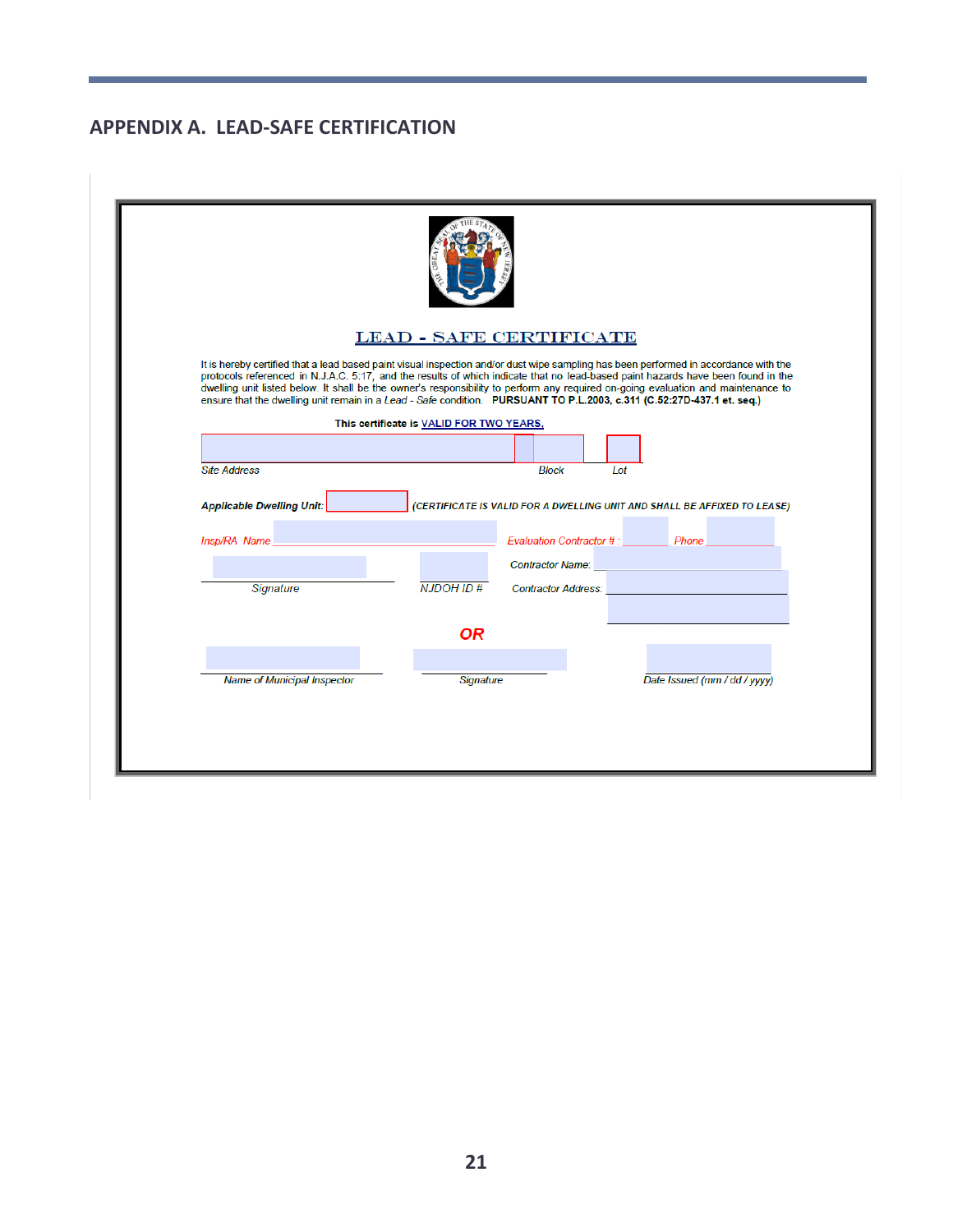#### **APPENDIX A. LEAD-SAFE CERTIFICATION**

|                                                                          |                                          | <b>LEAD - SAFE CERTIFICATE</b>                                                                                                                                                                                                                                                                                                                                                                                                                                                                                                          |
|--------------------------------------------------------------------------|------------------------------------------|-----------------------------------------------------------------------------------------------------------------------------------------------------------------------------------------------------------------------------------------------------------------------------------------------------------------------------------------------------------------------------------------------------------------------------------------------------------------------------------------------------------------------------------------|
|                                                                          |                                          | It is hereby certified that a lead based paint visual inspection and/or dust wipe sampling has been performed in accordance with the<br>protocols referenced in N.J.A.C. 5:17, and the results of which indicate that no lead-based paint hazards have been found in the<br>dwelling unit listed below. It shall be the owner's responsibility to perform any required on-going evaluation and maintenance to<br>ensure that the dwelling unit remain in a Lead - Safe condition. PURSUANT TO P.L.2003, c.311 (C.52:27D-437.1 et. seq.) |
|                                                                          | This certificate is VALID FOR TWO YEARS, |                                                                                                                                                                                                                                                                                                                                                                                                                                                                                                                                         |
|                                                                          |                                          |                                                                                                                                                                                                                                                                                                                                                                                                                                                                                                                                         |
| <b>Site Address</b>                                                      |                                          | <b>Block</b><br>Lot                                                                                                                                                                                                                                                                                                                                                                                                                                                                                                                     |
| <b>Applicable Dwelling Unit:</b><br><b>Insp/RA Name All All Analysis</b> |                                          | (CERTIFICATE IS VALID FOR A DWELLING UNIT AND SHALL BE AFFIXED TO LEASE)<br>Evaluation Contractor #: Phone                                                                                                                                                                                                                                                                                                                                                                                                                              |
|                                                                          |                                          |                                                                                                                                                                                                                                                                                                                                                                                                                                                                                                                                         |
| Signature                                                                | NJDOHID#                                 | Contractor Address: Entrance and The Contractor Address:                                                                                                                                                                                                                                                                                                                                                                                                                                                                                |
|                                                                          |                                          |                                                                                                                                                                                                                                                                                                                                                                                                                                                                                                                                         |
|                                                                          | <b>OR</b>                                |                                                                                                                                                                                                                                                                                                                                                                                                                                                                                                                                         |
|                                                                          | Signature                                | Date Issued (mm / dd / yyyy)                                                                                                                                                                                                                                                                                                                                                                                                                                                                                                            |
| <b>Name of Municipal Inspector</b>                                       |                                          |                                                                                                                                                                                                                                                                                                                                                                                                                                                                                                                                         |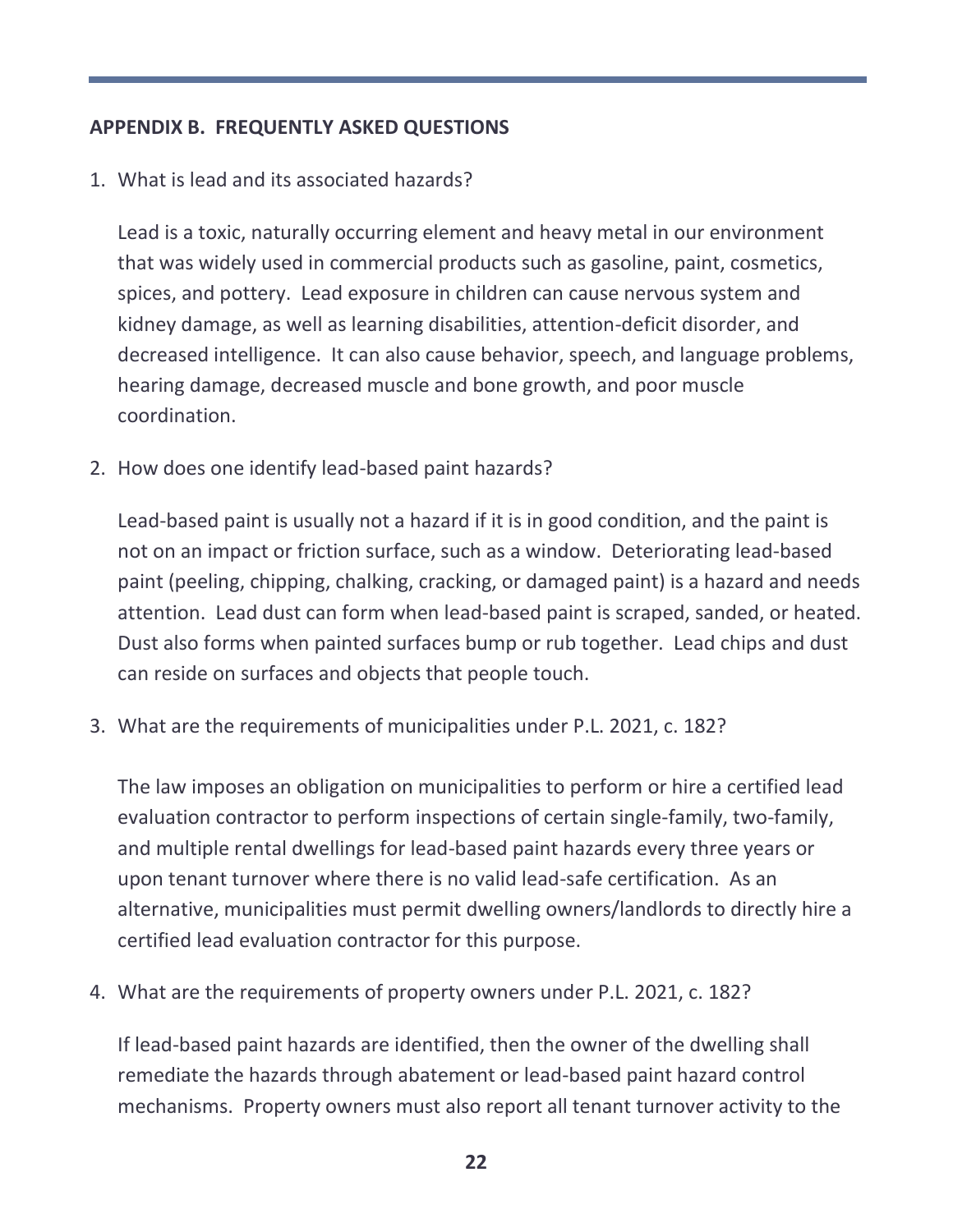#### **APPENDIX B. FREQUENTLY ASKED QUESTIONS**

1. What is lead and its associated hazards?

Lead is a toxic, naturally occurring element and heavy metal in our environment that was widely used in commercial products such as gasoline, paint, cosmetics, spices, and pottery. Lead exposure in children can cause nervous system and kidney damage, as well as learning disabilities, attention-deficit disorder, and decreased intelligence. It can also cause behavior, speech, and language problems, hearing damage, decreased muscle and bone growth, and poor muscle coordination.

2. How does one identify lead-based paint hazards?

Lead-based paint is usually not a hazard if it is in good condition, and the paint is not on an impact or friction surface, such as a window. Deteriorating lead-based paint (peeling, chipping, chalking, cracking, or damaged paint) is a hazard and needs attention. Lead dust can form when lead-based paint is scraped, sanded, or heated. Dust also forms when painted surfaces bump or rub together. Lead chips and dust can reside on surfaces and objects that people touch.

3. What are the requirements of municipalities under P.L. 2021, c. 182?

The law imposes an obligation on municipalities to perform or hire a certified lead evaluation contractor to perform inspections of certain single-family, two-family, and multiple rental dwellings for lead-based paint hazards every three years or upon tenant turnover where there is no valid lead-safe certification. As an alternative, municipalities must permit dwelling owners/landlords to directly hire a certified lead evaluation contractor for this purpose.

4. What are the requirements of property owners under P.L. 2021, c. 182?

If lead-based paint hazards are identified, then the owner of the dwelling shall remediate the hazards through abatement or lead-based paint hazard control mechanisms. Property owners must also report all tenant turnover activity to the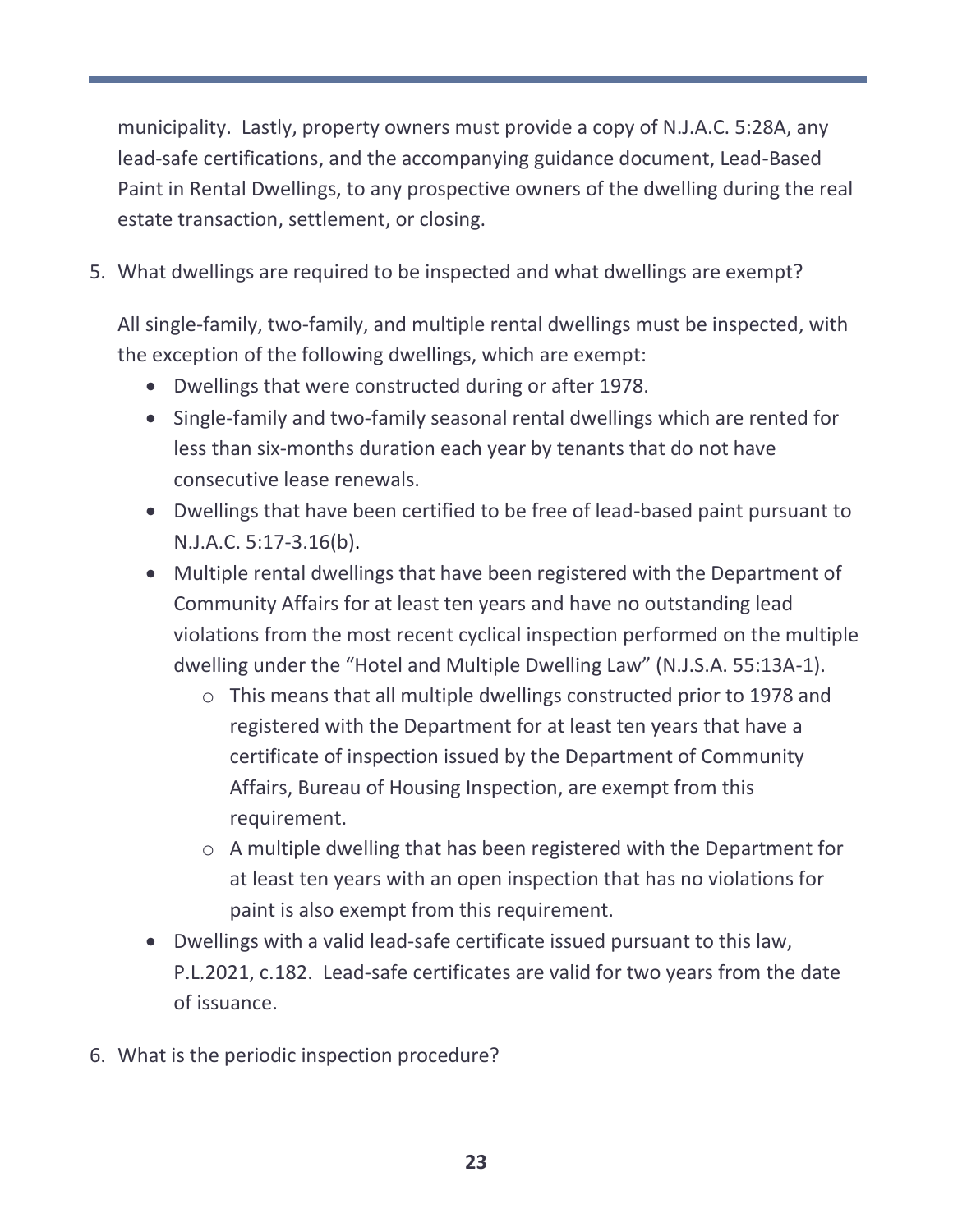municipality. Lastly, property owners must provide a copy of N.J.A.C. 5:28A, any lead-safe certifications, and the accompanying guidance document, Lead-Based Paint in Rental Dwellings, to any prospective owners of the dwelling during the real estate transaction, settlement, or closing.

5. What dwellings are required to be inspected and what dwellings are exempt?

All single-family, two-family, and multiple rental dwellings must be inspected, with the exception of the following dwellings, which are exempt:

- Dwellings that were constructed during or after 1978.
- Single-family and two-family seasonal rental dwellings which are rented for less than six-months duration each year by tenants that do not have consecutive lease renewals.
- Dwellings that have been certified to be free of lead-based paint pursuant to N.J.A.C. 5:17-3.16(b).
- Multiple rental dwellings that have been registered with the Department of Community Affairs for at least ten years and have no outstanding lead violations from the most recent cyclical inspection performed on the multiple dwelling under the "Hotel and Multiple Dwelling Law" (N.J.S.A. 55:13A-1).
	- o This means that all multiple dwellings constructed prior to 1978 and registered with the Department for at least ten years that have a certificate of inspection issued by the Department of Community Affairs, Bureau of Housing Inspection, are exempt from this requirement.
	- o A multiple dwelling that has been registered with the Department for at least ten years with an open inspection that has no violations for paint is also exempt from this requirement.
- Dwellings with a valid lead-safe certificate issued pursuant to this law, P.L.2021, c.182. Lead-safe certificates are valid for two years from the date of issuance.
- 6. What is the periodic inspection procedure?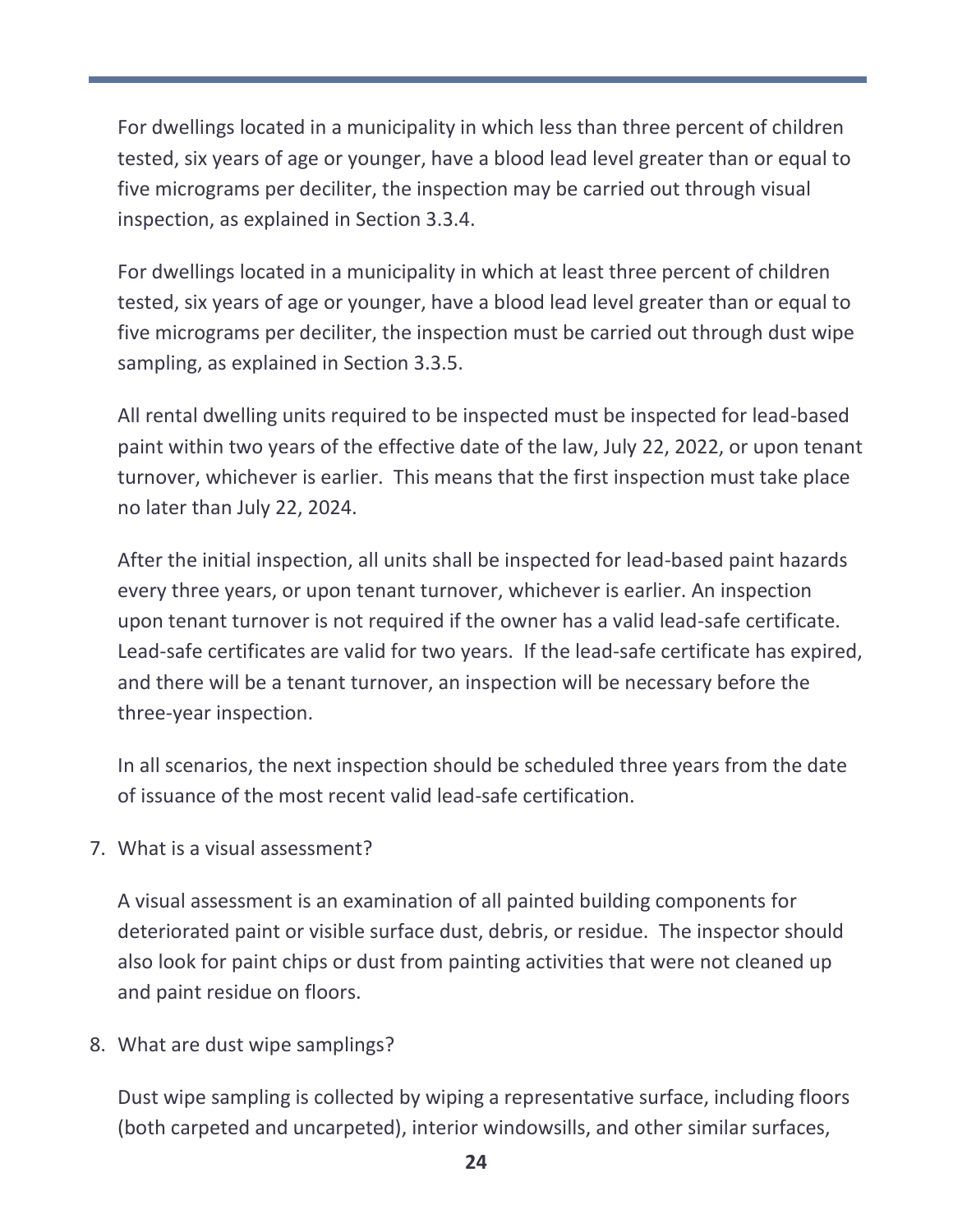For dwellings located in a municipality in which less than three percent of children tested, six years of age or younger, have a blood lead level greater than or equal to five micrograms per deciliter, the inspection may be carried out through visual inspection, as explained in Section 3.3.4.

For dwellings located in a municipality in which at least three percent of children tested, six years of age or younger, have a blood lead level greater than or equal to five micrograms per deciliter, the inspection must be carried out through dust wipe sampling, as explained in Section 3.3.5.

All rental dwelling units required to be inspected must be inspected for lead-based paint within two years of the effective date of the law, July 22, 2022, or upon tenant turnover, whichever is earlier. This means that the first inspection must take place no later than July 22, 2024.

After the initial inspection, all units shall be inspected for lead-based paint hazards every three years, or upon tenant turnover, whichever is earlier. An inspection upon tenant turnover is not required if the owner has a valid lead-safe certificate. Lead-safe certificates are valid for two years. If the lead-safe certificate has expired, and there will be a tenant turnover, an inspection will be necessary before the three-year inspection.

In all scenarios, the next inspection should be scheduled three years from the date of issuance of the most recent valid lead-safe certification.

7. What is a visual assessment?

A visual assessment is an examination of all painted building components for deteriorated paint or visible surface dust, debris, or residue. The inspector should also look for paint chips or dust from painting activities that were not cleaned up and paint residue on floors.

8. What are dust wipe samplings?

Dust wipe sampling is collected by wiping a representative surface, including floors (both carpeted and uncarpeted), interior windowsills, and other similar surfaces,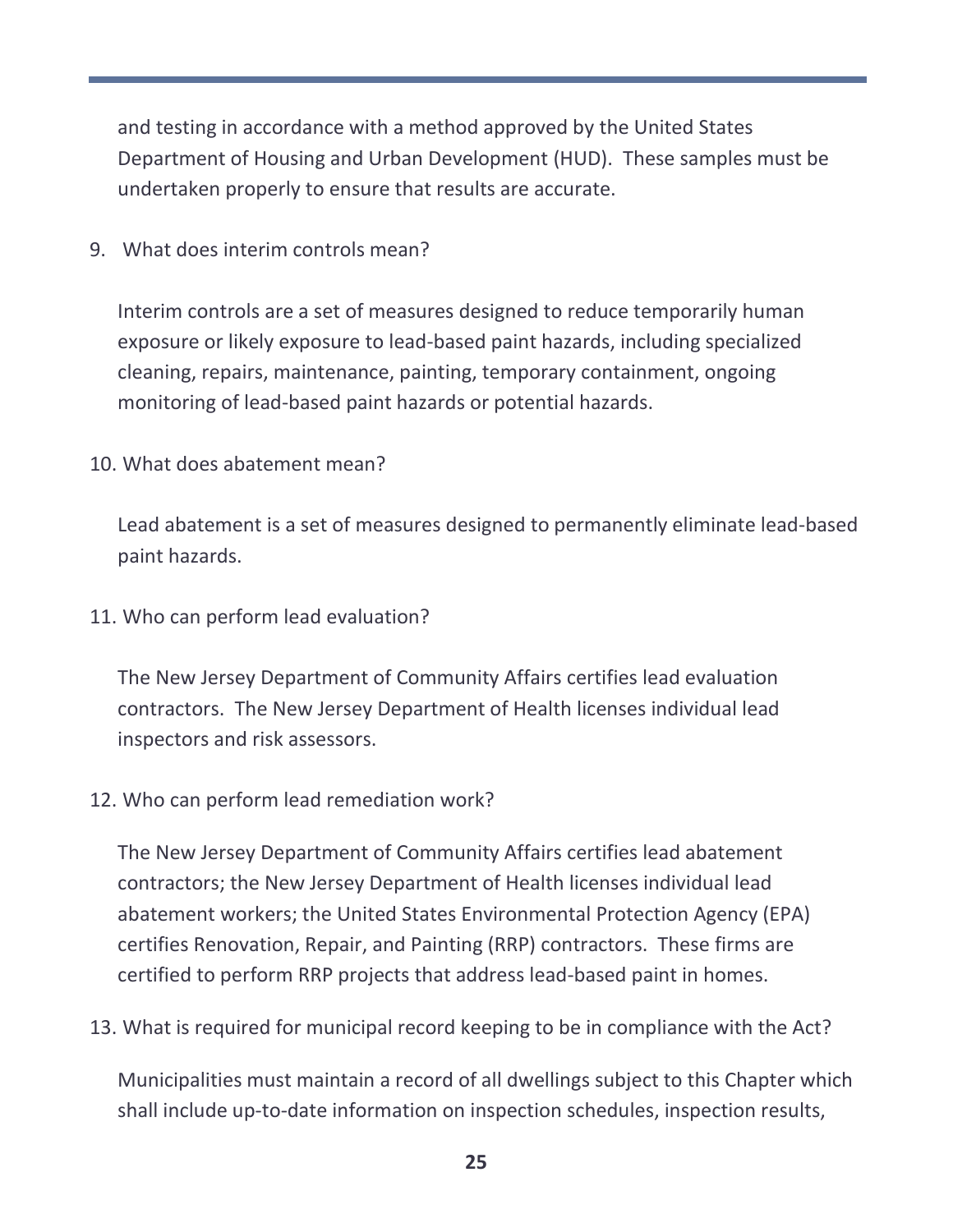and testing in accordance with a method approved by the United States Department of Housing and Urban Development (HUD). These samples must be undertaken properly to ensure that results are accurate.

9. What does interim controls mean?

Interim controls are a set of measures designed to reduce temporarily human exposure or likely exposure to lead-based paint hazards, including specialized cleaning, repairs, maintenance, painting, temporary containment, ongoing monitoring of lead-based paint hazards or potential hazards.

10. What does abatement mean?

Lead abatement is a set of measures designed to permanently eliminate lead-based paint hazards.

11. Who can perform lead evaluation?

The New Jersey Department of Community Affairs certifies lead evaluation contractors. The New Jersey Department of Health licenses individual lead inspectors and risk assessors.

12. Who can perform lead remediation work?

The New Jersey Department of Community Affairs certifies lead abatement contractors; the New Jersey Department of Health licenses individual lead abatement workers; the United States Environmental Protection Agency (EPA) certifies Renovation, Repair, and Painting (RRP) contractors. These firms are certified to perform RRP projects that address lead-based paint in homes.

13. What is required for municipal record keeping to be in compliance with the Act?

Municipalities must maintain a record of all dwellings subject to this Chapter which shall include up-to-date information on inspection schedules, inspection results,